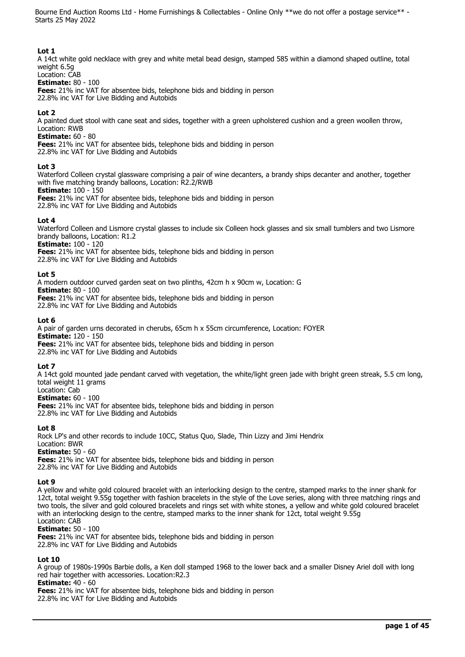# **Lot 1**

A 14ct white gold necklace with grey and white metal bead design, stamped 585 within a diamond shaped outline, total weight 6.5g

# Location: CAB

**Estimate:** 80 - 100

**Fees:** 21% inc VAT for absentee bids, telephone bids and bidding in person 22.8% inc VAT for Live Bidding and Autobids

# **Lot 2**

A painted duet stool with cane seat and sides, together with a green upholstered cushion and a green woollen throw, Location: RWB

#### **Estimate:** 60 - 80

**Fees:** 21% inc VAT for absentee bids, telephone bids and bidding in person 22.8% inc VAT for Live Bidding and Autobids

#### **Lot 3**

Waterford Colleen crystal glassware comprising a pair of wine decanters, a brandy ships decanter and another, together with five matching brandy balloons, Location: R2.2/RWB

#### **Estimate:** 100 - 150

**Fees:** 21% inc VAT for absentee bids, telephone bids and bidding in person 22.8% inc VAT for Live Bidding and Autobids

# **Lot 4**

Waterford Colleen and Lismore crystal glasses to include six Colleen hock glasses and six small tumblers and two Lismore brandy balloons, Location: R1.2

**Estimate:** 100 - 120

**Fees:** 21% inc VAT for absentee bids, telephone bids and bidding in person 22.8% inc VAT for Live Bidding and Autobids

#### **Lot 5**

A modern outdoor curved garden seat on two plinths, 42cm h x 90cm w, Location: G **Estimate:** 80 - 100 **Fees:** 21% inc VAT for absentee bids, telephone bids and bidding in person 22.8% inc VAT for Live Bidding and Autobids

#### **Lot 6**

A pair of garden urns decorated in cherubs, 65cm h x 55cm circumference, Location: FOYER **Estimate:** 120 - 150 **Fees:** 21% inc VAT for absentee bids, telephone bids and bidding in person

22.8% inc VAT for Live Bidding and Autobids

# **Lot 7**

A 14ct gold mounted jade pendant carved with vegetation, the white/light green jade with bright green streak, 5.5 cm long, total weight 11 grams

Location: Cab **Estimate:** 60 - 100

**Fees:** 21% inc VAT for absentee bids, telephone bids and bidding in person 22.8% inc VAT for Live Bidding and Autobids

# **Lot 8**

Rock LP's and other records to include 10CC, Status Quo, Slade, Thin Lizzy and Jimi Hendrix Location: BWR **Estimate:** 50 - 60 **Fees:** 21% inc VAT for absentee bids, telephone bids and bidding in person

22.8% inc VAT for Live Bidding and Autobids

# **Lot 9**

A yellow and white gold coloured bracelet with an interlocking design to the centre, stamped marks to the inner shank for 12ct, total weight 9.55g together with fashion bracelets in the style of the Love series, along with three matching rings and two tools, the silver and gold coloured bracelets and rings set with white stones, a yellow and white gold coloured bracelet with an interlocking design to the centre, stamped marks to the inner shank for 12ct, total weight 9.55g Location: CAB

# **Estimate:** 50 - 100

**Fees:** 21% inc VAT for absentee bids, telephone bids and bidding in person 22.8% inc VAT for Live Bidding and Autobids

# **Lot 10**

A group of 1980s-1990s Barbie dolls, a Ken doll stamped 1968 to the lower back and a smaller Disney Ariel doll with long red hair together with accessories. Location:R2.3

**Estimate:** 40 - 60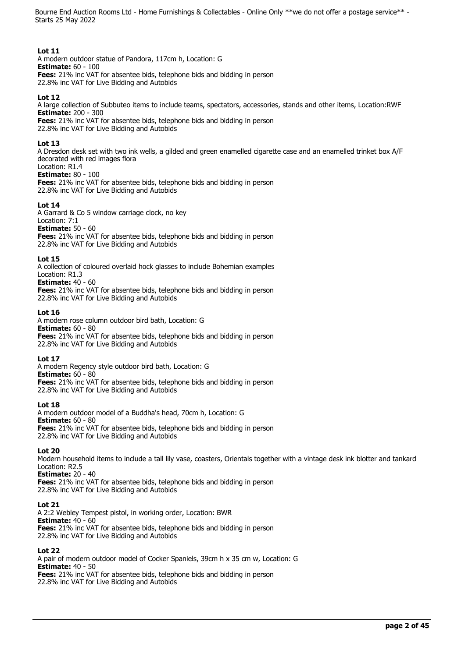# **Lot 11**

A modern outdoor statue of Pandora, 117cm h, Location: G **Estimate:** 60 - 100 **Fees:** 21% inc VAT for absentee bids, telephone bids and bidding in person 22.8% inc VAT for Live Bidding and Autobids

# **Lot 12**

A large collection of Subbuteo items to include teams, spectators, accessories, stands and other items, Location:RWF **Estimate:** 200 - 300 **Fees:** 21% inc VAT for absentee bids, telephone bids and bidding in person 22.8% inc VAT for Live Bidding and Autobids

#### **Lot 13**

A Dresdon desk set with two ink wells, a gilded and green enamelled cigarette case and an enamelled trinket box A/F decorated with red images flora Location: R1.4

# **Estimate:** 80 - 100

**Fees:** 21% inc VAT for absentee bids, telephone bids and bidding in person 22.8% inc VAT for Live Bidding and Autobids

#### **Lot 14**

A Garrard & Co 5 window carriage clock, no key Location: 7:1 **Estimate:** 50 - 60 **Fees:** 21% inc VAT for absentee bids, telephone bids and bidding in person 22.8% inc VAT for Live Bidding and Autobids

#### **Lot 15**

A collection of coloured overlaid hock glasses to include Bohemian examples

Location: R1.3 **Estimate:** 40 - 60

**Fees:** 21% inc VAT for absentee bids, telephone bids and bidding in person 22.8% inc VAT for Live Bidding and Autobids

#### **Lot 16**

A modern rose column outdoor bird bath, Location: G **Estimate:** 60 - 80 **Fees:** 21% inc VAT for absentee bids, telephone bids and bidding in person 22.8% inc VAT for Live Bidding and Autobids

# **Lot 17**

A modern Regency style outdoor bird bath, Location: G **Estimate:** 60 - 80 **Fees:** 21% inc VAT for absentee bids, telephone bids and bidding in person 22.8% inc VAT for Live Bidding and Autobids

#### **Lot 18**

A modern outdoor model of a Buddha's head, 70cm h, Location: G **Estimate:** 60 - 80 **Fees:** 21% inc VAT for absentee bids, telephone bids and bidding in person 22.8% inc VAT for Live Bidding and Autobids

#### **Lot 20**

Modern household items to include a tall lily vase, coasters, Orientals together with a vintage desk ink blotter and tankard Location: R2.5

**Estimate:** 20 - 40 **Fees:** 21% inc VAT for absentee bids, telephone bids and bidding in person 22.8% inc VAT for Live Bidding and Autobids

#### **Lot 21**

A 2:2 Webley Tempest pistol, in working order, Location: BWR **Estimate:** 40 - 60 **Fees:** 21% inc VAT for absentee bids, telephone bids and bidding in person 22.8% inc VAT for Live Bidding and Autobids

#### **Lot 22**

A pair of modern outdoor model of Cocker Spaniels, 39cm h x 35 cm w, Location: G **Estimate:** 40 - 50 **Fees:** 21% inc VAT for absentee bids, telephone bids and bidding in person 22.8% inc VAT for Live Bidding and Autobids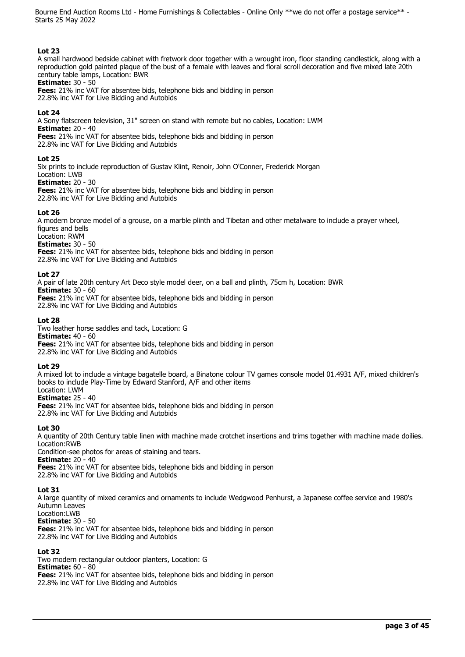# **Lot 23**

A small hardwood bedside cabinet with fretwork door together with a wrought iron, floor standing candlestick, along with a reproduction gold painted plaque of the bust of a female with leaves and floral scroll decoration and five mixed late 20th century table lamps, Location: BWR

**Estimate:** 30 - 50

**Fees:** 21% inc VAT for absentee bids, telephone bids and bidding in person 22.8% inc VAT for Live Bidding and Autobids

# **Lot 24**

A Sony flatscreen television, 31" screen on stand with remote but no cables, Location: LWM **Estimate:** 20 - 40 **Fees:** 21% inc VAT for absentee bids, telephone bids and bidding in person

22.8% inc VAT for Live Bidding and Autobids

#### **Lot 25**

Six prints to include reproduction of Gustav Klint, Renoir, John O'Conner, Frederick Morgan Location: LWB

# **Estimate:** 20 - 30

**Fees:** 21% inc VAT for absentee bids, telephone bids and bidding in person 22.8% inc VAT for Live Bidding and Autobids

#### **Lot 26**

A modern bronze model of a grouse, on a marble plinth and Tibetan and other metalware to include a prayer wheel, figures and bells

Location: RWM

**Estimate:** 30 - 50

**Fees:** 21% inc VAT for absentee bids, telephone bids and bidding in person 22.8% inc VAT for Live Bidding and Autobids

#### **Lot 27**

A pair of late 20th century Art Deco style model deer, on a ball and plinth, 75cm h, Location: BWR **Estimate:** 30 - 60 **Fees:** 21% inc VAT for absentee bids, telephone bids and bidding in person

22.8% inc VAT for Live Bidding and Autobids

#### **Lot 28**

Two leather horse saddles and tack, Location: G **Estimate:** 40 - 60 **Fees:** 21% inc VAT for absentee bids, telephone bids and bidding in person

22.8% inc VAT for Live Bidding and Autobids

# **Lot 29**

A mixed lot to include a vintage bagatelle board, a Binatone colour TV games console model 01.4931 A/F, mixed children's books to include Play-Time by Edward Stanford, A/F and other items Location: LWM

**Estimate:** 25 - 40

**Fees:** 21% inc VAT for absentee bids, telephone bids and bidding in person 22.8% inc VAT for Live Bidding and Autobids

#### **Lot 30**

A quantity of 20th Century table linen with machine made crotchet insertions and trims together with machine made doilies. Location:RWB

Condition-see photos for areas of staining and tears.

**Estimate:** 20 - 40

**Fees:** 21% inc VAT for absentee bids, telephone bids and bidding in person

22.8% inc VAT for Live Bidding and Autobids

# **Lot 31**

A large quantity of mixed ceramics and ornaments to include Wedgwood Penhurst, a Japanese coffee service and 1980's Autumn Leaves Location:LWB

**Estimate:** 30 - 50

**Fees:** 21% inc VAT for absentee bids, telephone bids and bidding in person 22.8% inc VAT for Live Bidding and Autobids

# **Lot 32**

Two modern rectangular outdoor planters, Location: G **Estimate:** 60 - 80 **Fees:** 21% inc VAT for absentee bids, telephone bids and bidding in person 22.8% inc VAT for Live Bidding and Autobids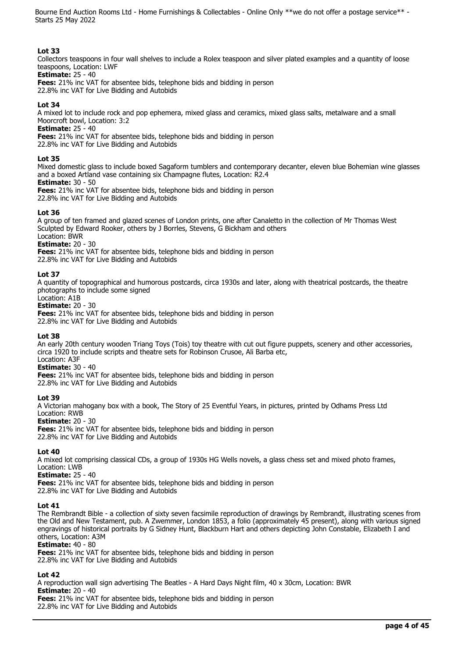# **Lot 33**

Collectors teaspoons in four wall shelves to include a Rolex teaspoon and silver plated examples and a quantity of loose teaspoons, Location: LWF

#### **Estimate:** 25 - 40

**Fees:** 21% inc VAT for absentee bids, telephone bids and bidding in person 22.8% inc VAT for Live Bidding and Autobids

# **Lot 34**

A mixed lot to include rock and pop ephemera, mixed glass and ceramics, mixed glass salts, metalware and a small Moorcroft bowl, Location: 3:2

**Estimate:** 25 - 40

**Fees:** 21% inc VAT for absentee bids, telephone bids and bidding in person

22.8% inc VAT for Live Bidding and Autobids

# **Lot 35**

Mixed domestic glass to include boxed Sagaform tumblers and contemporary decanter, eleven blue Bohemian wine glasses and a boxed Artland vase containing six Champagne flutes, Location: R2.4

# **Estimate:** 30 - 50

**Fees:** 21% inc VAT for absentee bids, telephone bids and bidding in person

22.8% inc VAT for Live Bidding and Autobids

# **Lot 36**

A group of ten framed and glazed scenes of London prints, one after Canaletto in the collection of Mr Thomas West Sculpted by Edward Rooker, others by J Borrles, Stevens, G Bickham and others Location: BWR

**Estimate:** 20 - 30

**Fees:** 21% inc VAT for absentee bids, telephone bids and bidding in person

22.8% inc VAT for Live Bidding and Autobids

# **Lot 37**

A quantity of topographical and humorous postcards, circa 1930s and later, along with theatrical postcards, the theatre photographs to include some signed

#### Location: A1B **Estimate:** 20 - 30

**Fees:** 21% inc VAT for absentee bids, telephone bids and bidding in person 22.8% inc VAT for Live Bidding and Autobids

# **Lot 38**

An early 20th century wooden Triang Toys (Tois) toy theatre with cut out figure puppets, scenery and other accessories, circa 1920 to include scripts and theatre sets for Robinson Crusoe, Ali Barba etc, Location: A3F

# **Estimate:** 30 - 40

**Fees:** 21% inc VAT for absentee bids, telephone bids and bidding in person 22.8% inc VAT for Live Bidding and Autobids

# **Lot 39**

A Victorian mahogany box with a book, The Story of 25 Eventful Years, in pictures, printed by Odhams Press Ltd Location: RWB

**Estimate:** 20 - 30

**Fees:** 21% inc VAT for absentee bids, telephone bids and bidding in person 22.8% inc VAT for Live Bidding and Autobids

# **Lot 40**

A mixed lot comprising classical CDs, a group of 1930s HG Wells novels, a glass chess set and mixed photo frames, Location: LWB

**Estimate:** 25 - 40

**Fees:** 21% inc VAT for absentee bids, telephone bids and bidding in person 22.8% inc VAT for Live Bidding and Autobids

# **Lot 41**

The Rembrandt Bible - a collection of sixty seven facsimile reproduction of drawings by Rembrandt, illustrating scenes from the Old and New Testament, pub. A Zwemmer, London 1853, a folio (approximately 45 present), along with various signed engravings of historical portraits by G Sidney Hunt, Blackburn Hart and others depicting John Constable, Elizabeth I and others, Location: A3M

# **Estimate:** 40 - 80

**Fees:** 21% inc VAT for absentee bids, telephone bids and bidding in person 22.8% inc VAT for Live Bidding and Autobids

# **Lot 42**

A reproduction wall sign advertising The Beatles - A Hard Days Night film, 40 x 30cm, Location: BWR **Estimate:** 20 - 40 **Fees:** 21% inc VAT for absentee bids, telephone bids and bidding in person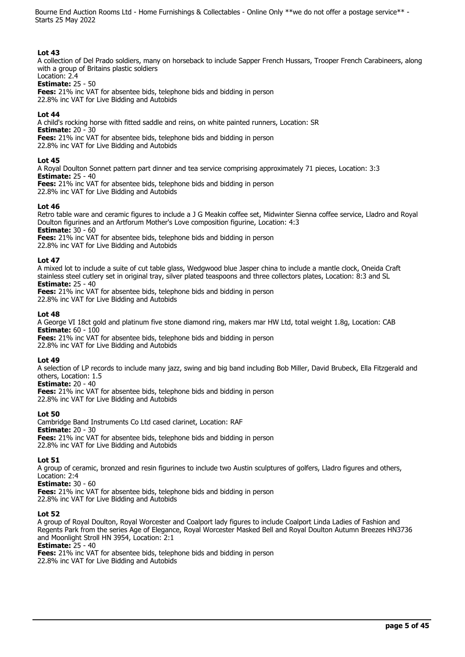# **Lot 43**

A collection of Del Prado soldiers, many on horseback to include Sapper French Hussars, Trooper French Carabineers, along with a group of Britains plastic soldiers

#### Location: 2.4 **Estimate:** 25 - 50

**Fees:** 21% inc VAT for absentee bids, telephone bids and bidding in person 22.8% inc VAT for Live Bidding and Autobids

#### **Lot 44**

A child's rocking horse with fitted saddle and reins, on white painted runners, Location: SR **Estimate:** 20 - 30 **Fees:** 21% inc VAT for absentee bids, telephone bids and bidding in person

22.8% inc VAT for Live Bidding and Autobids

#### **Lot 45**

A Royal Doulton Sonnet pattern part dinner and tea service comprising approximately 71 pieces, Location: 3:3 **Estimate:** 25 - 40

**Fees:** 21% inc VAT for absentee bids, telephone bids and bidding in person 22.8% inc VAT for Live Bidding and Autobids

#### **Lot 46**

Retro table ware and ceramic figures to include a J G Meakin coffee set, Midwinter Sienna coffee service, Lladro and Royal Doulton figurines and an Artforum Mother's Love composition figurine, Location: 4:3 **Estimate:** 30 - 60

**Fees:** 21% inc VAT for absentee bids, telephone bids and bidding in person 22.8% inc VAT for Live Bidding and Autobids

#### **Lot 47**

A mixed lot to include a suite of cut table glass, Wedgwood blue Jasper china to include a mantle clock, Oneida Craft stainless steel cutlery set in original tray, silver plated teaspoons and three collectors plates, Location: 8:3 and SL **Estimate:** 25 - 40

**Fees:** 21% inc VAT for absentee bids, telephone bids and bidding in person 22.8% inc VAT for Live Bidding and Autobids

#### **Lot 48**

A George VI 18ct gold and platinum five stone diamond ring, makers mar HW Ltd, total weight 1.8g, Location: CAB **Estimate:** 60 - 100

**Fees:** 21% inc VAT for absentee bids, telephone bids and bidding in person 22.8% inc VAT for Live Bidding and Autobids

#### **Lot 49**

A selection of LP records to include many jazz, swing and big band including Bob Miller, David Brubeck, Ella Fitzgerald and others, Location: 1.5

**Estimate:** 20 - 40

**Fees:** 21% inc VAT for absentee bids, telephone bids and bidding in person 22.8% inc VAT for Live Bidding and Autobids

# **Lot 50**

Cambridge Band Instruments Co Ltd cased clarinet, Location: RAF **Estimate:** 20 - 30 **Fees:** 21% inc VAT for absentee bids, telephone bids and bidding in person 22.8% inc VAT for Live Bidding and Autobids

# **Lot 51**

A group of ceramic, bronzed and resin figurines to include two Austin sculptures of golfers, Lladro figures and others, Location: 2:4

**Estimate:** 30 - 60

**Fees:** 21% inc VAT for absentee bids, telephone bids and bidding in person

22.8% inc VAT for Live Bidding and Autobids

# **Lot 52**

A group of Royal Doulton, Royal Worcester and Coalport lady figures to include Coalport Linda Ladies of Fashion and Regents Park from the series Age of Elegance, Royal Worcester Masked Bell and Royal Doulton Autumn Breezes HN3736 and Moonlight Stroll HN 3954, Location: 2:1

#### **Estimate:** 25 - 40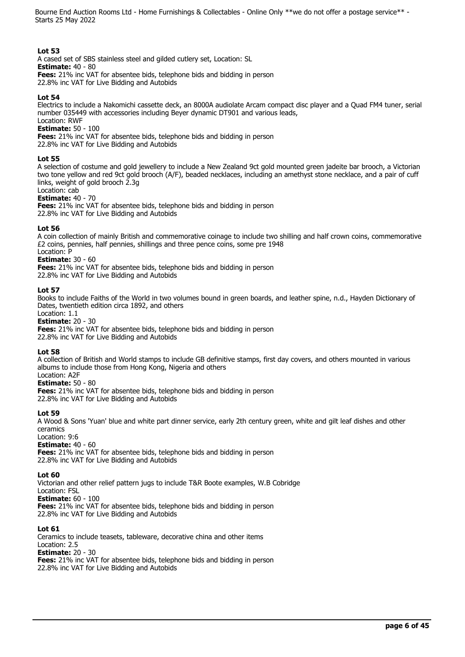# **Lot 53**

A cased set of SBS stainless steel and gilded cutlery set, Location: SL

**Estimate:** 40 - 80

**Fees:** 21% inc VAT for absentee bids, telephone bids and bidding in person 22.8% inc VAT for Live Bidding and Autobids

# **Lot 54**

Electrics to include a Nakomichi cassette deck, an 8000A audiolate Arcam compact disc player and a Quad FM4 tuner, serial number 035449 with accessories including Beyer dynamic DT901 and various leads, Location: RWF

**Estimate:** 50 - 100

**Fees:** 21% inc VAT for absentee bids, telephone bids and bidding in person

22.8% inc VAT for Live Bidding and Autobids

# **Lot 55**

A selection of costume and gold jewellery to include a New Zealand 9ct gold mounted green jadeite bar brooch, a Victorian two tone yellow and red 9ct gold brooch (A/F), beaded necklaces, including an amethyst stone necklace, and a pair of cuff links, weight of gold brooch 2.3g

#### Location: cab **Estimate:** 40 - 70

**Fees:** 21% inc VAT for absentee bids, telephone bids and bidding in person

22.8% inc VAT for Live Bidding and Autobids

# **Lot 56**

A coin collection of mainly British and commemorative coinage to include two shilling and half crown coins, commemorative £2 coins, pennies, half pennies, shillings and three pence coins, some pre 1948 Location: P

# **Estimate:** 30 - 60

**Fees:** 21% inc VAT for absentee bids, telephone bids and bidding in person

22.8% inc VAT for Live Bidding and Autobids

# **Lot 57**

Books to include Faiths of the World in two volumes bound in green boards, and leather spine, n.d., Hayden Dictionary of Dates, twentieth edition circa 1892, and others

# Location: 1.1

**Estimate:** 20 - 30

**Fees:** 21% inc VAT for absentee bids, telephone bids and bidding in person 22.8% inc VAT for Live Bidding and Autobids

# **Lot 58**

A collection of British and World stamps to include GB definitive stamps, first day covers, and others mounted in various albums to include those from Hong Kong, Nigeria and others Location: A2F

# **Estimate:** 50 - 80

**Fees:** 21% inc VAT for absentee bids, telephone bids and bidding in person 22.8% inc VAT for Live Bidding and Autobids

# **Lot 59**

A Wood & Sons 'Yuan' blue and white part dinner service, early 2th century green, white and gilt leaf dishes and other ceramics

#### Location: 9:6

**Estimate:** 40 - 60

**Fees:** 21% inc VAT for absentee bids, telephone bids and bidding in person 22.8% inc VAT for Live Bidding and Autobids

# **Lot 60**

Victorian and other relief pattern jugs to include T&R Boote examples, W.B Cobridge Location: FSL **Estimate:** 60 - 100 **Fees:** 21% inc VAT for absentee bids, telephone bids and bidding in person

22.8% inc VAT for Live Bidding and Autobids

# **Lot 61**

Ceramics to include teasets, tableware, decorative china and other items Location: 2.5 **Estimate:** 20 - 30 **Fees:** 21% inc VAT for absentee bids, telephone bids and bidding in person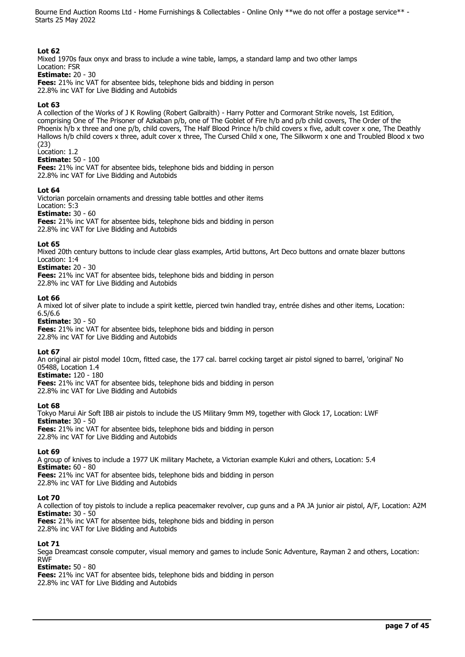# **Lot 62**

Mixed 1970s faux onyx and brass to include a wine table, lamps, a standard lamp and two other lamps Location: FSR **Estimate:** 20 - 30

**Fees:** 21% inc VAT for absentee bids, telephone bids and bidding in person 22.8% inc VAT for Live Bidding and Autobids

#### **Lot 63**

A collection of the Works of J K Rowling (Robert Galbraith) - Harry Potter and Cormorant Strike novels, 1st Edition, comprising One of The Prisoner of Azkaban p/b, one of The Goblet of Fire h/b and p/b child covers, The Order of the Phoenix h/b x three and one p/b, child covers, The Half Blood Prince h/b child covers x five, adult cover x one, The Deathly Hallows h/b child covers x three, adult cover x three, The Cursed Child x one, The Silkworm x one and Troubled Blood x two (23)

Location: 1.2

**Estimate:** 50 - 100

**Fees:** 21% inc VAT for absentee bids, telephone bids and bidding in person 22.8% inc VAT for Live Bidding and Autobids

#### **Lot 64**

Victorian porcelain ornaments and dressing table bottles and other items Location: 5:3 **Estimate:** 30 - 60

**Fees:** 21% inc VAT for absentee bids, telephone bids and bidding in person 22.8% inc VAT for Live Bidding and Autobids

#### **Lot 65**

Mixed 20th century buttons to include clear glass examples, Artid buttons, Art Deco buttons and ornate blazer buttons Location: 1:4

**Estimate:** 20 - 30

**Fees:** 21% inc VAT for absentee bids, telephone bids and bidding in person 22.8% inc VAT for Live Bidding and Autobids

#### **Lot 66**

A mixed lot of silver plate to include a spirit kettle, pierced twin handled tray, entrée dishes and other items, Location: 6.5/6.6

**Estimate:** 30 - 50

**Fees:** 21% inc VAT for absentee bids, telephone bids and bidding in person 22.8% inc VAT for Live Bidding and Autobids

#### **Lot 67**

An original air pistol model 10cm, fitted case, the 177 cal. barrel cocking target air pistol signed to barrel, 'original' No 05488, Location 1.4

# **Estimate:** 120 - 180

**Fees:** 21% inc VAT for absentee bids, telephone bids and bidding in person 22.8% inc VAT for Live Bidding and Autobids

**Lot 68** 

Tokyo Marui Air Soft IBB air pistols to include the US Military 9mm M9, together with Glock 17, Location: LWF **Estimate:** 30 - 50

**Fees:** 21% inc VAT for absentee bids, telephone bids and bidding in person 22.8% inc VAT for Live Bidding and Autobids

#### **Lot 69**

A group of knives to include a 1977 UK military Machete, a Victorian example Kukri and others, Location: 5.4 **Estimate:** 60 - 80 **Fees:** 21% inc VAT for absentee bids, telephone bids and bidding in person 22.8% inc VAT for Live Bidding and Autobids

**Lot 70** 

A collection of toy pistols to include a replica peacemaker revolver, cup guns and a PA JA junior air pistol, A/F, Location: A2M **Estimate:** 30 - 50

**Fees:** 21% inc VAT for absentee bids, telephone bids and bidding in person 22.8% inc VAT for Live Bidding and Autobids

# **Lot 71**

Sega Dreamcast console computer, visual memory and games to include Sonic Adventure, Rayman 2 and others, Location: RWF

**Estimate:** 50 - 80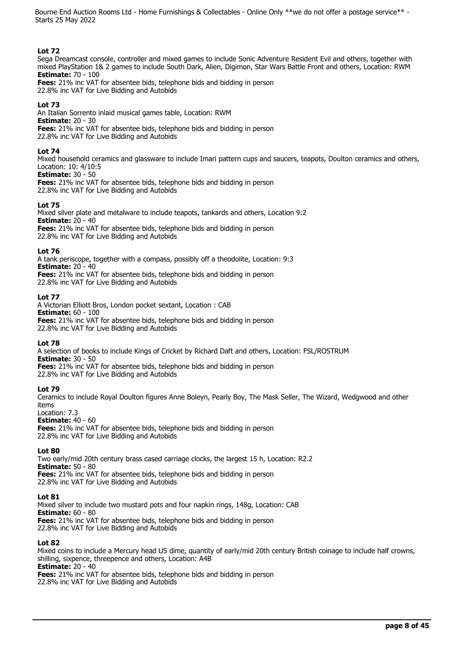# **Lot 72**

Sega Dreamcast console, controller and mixed games to include Sonic Adventure Resident Evil and others, together with mixed PlayStation 1& 2 games to include South Dark, Alien, Digimon, Star Wars Battle Front and others, Location: RWM **Estimate:** 70 - 100

**Fees:** 21% inc VAT for absentee bids, telephone bids and bidding in person 22.8% inc VAT for Live Bidding and Autobids

# **Lot 73**

An Italian Sorrento inlaid musical games table, Location: RWM **Estimate:** 20 - 30 **Fees:** 21% inc VAT for absentee bids, telephone bids and bidding in person 22.8% inc VAT for Live Bidding and Autobids

#### **Lot 74**

Mixed household ceramics and glassware to include Imari pattern cups and saucers, teapots, Doulton ceramics and others, Location: 10: 4/10:5

**Estimate:** 30 - 50

**Fees:** 21% inc VAT for absentee bids, telephone bids and bidding in person 22.8% inc VAT for Live Bidding and Autobids

#### **Lot 75**

Mixed silver plate and metalware to include teapots, tankards and others, Location 9:2 **Estimate:** 20 - 40 **Fees:** 21% inc VAT for absentee bids, telephone bids and bidding in person 22.8% inc VAT for Live Bidding and Autobids

#### **Lot 76**

A tank periscope, together with a compass, possibly off a theodolite, Location: 9:3 **Estimate:** 20 - 40 **Fees:** 21% inc VAT for absentee bids, telephone bids and bidding in person 22.8% inc VAT for Live Bidding and Autobids

#### **Lot 77**

A Victorian Elliott Bros, London pocket sextant, Location : CAB **Estimate:** 60 - 100 **Fees:** 21% inc VAT for absentee bids, telephone bids and bidding in person 22.8% inc VAT for Live Bidding and Autobids

#### **Lot 78**

A selection of books to include Kings of Cricket by Richard Daft and others, Location: FSL/ROSTRUM **Estimate:** 30 - 50 **Fees:** 21% inc VAT for absentee bids, telephone bids and bidding in person 22.8% inc VAT for Live Bidding and Autobids

# **Lot 79**

Ceramics to include Royal Doulton figures Anne Boleyn, Pearly Boy, The Mask Seller, The Wizard, Wedgwood and other items

Location: 7.3

**Estimate:** 40 - 60 **Fees:** 21% inc VAT for absentee bids, telephone bids and bidding in person 22.8% inc VAT for Live Bidding and Autobids

#### **Lot 80**

Two early/mid 20th century brass cased carriage clocks, the largest 15 h, Location: R2.2 **Estimate:** 50 - 80 **Fees:** 21% inc VAT for absentee bids, telephone bids and bidding in person 22.8% inc VAT for Live Bidding and Autobids

#### **Lot 81**

Mixed silver to include two mustard pots and four napkin rings, 148g, Location: CAB **Estimate:** 60 - 80 **Fees:** 21% inc VAT for absentee bids, telephone bids and bidding in person 22.8% inc VAT for Live Bidding and Autobids

#### **Lot 82**

Mixed coins to include a Mercury head US dime, quantity of early/mid 20th century British coinage to include half crowns, shilling, sixpence, threepence and others, Location: A4B **Estimate:** 20 - 40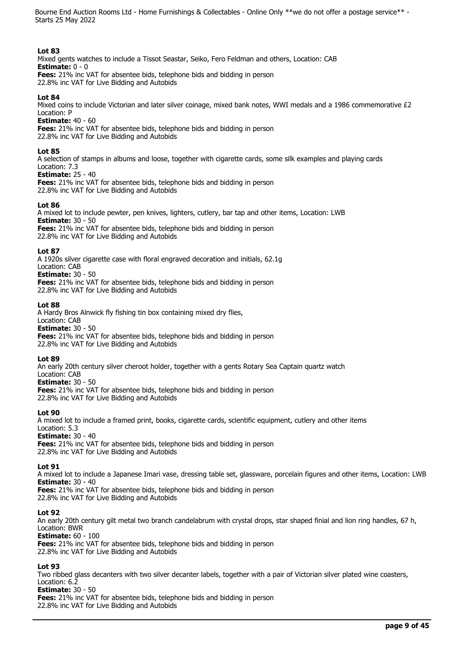# **Lot 83**

Mixed gents watches to include a Tissot Seastar, Seiko, Fero Feldman and others, Location: CAB **Estimate:** 0 - 0 **Fees:** 21% inc VAT for absentee bids, telephone bids and bidding in person

22.8% inc VAT for Live Bidding and Autobids

#### **Lot 84**

Mixed coins to include Victorian and later silver coinage, mixed bank notes, WWI medals and a 1986 commemorative £2 Location: P

**Estimate:** 40 - 60

**Fees:** 21% inc VAT for absentee bids, telephone bids and bidding in person 22.8% inc VAT for Live Bidding and Autobids

#### **Lot 85**

A selection of stamps in albums and loose, together with cigarette cards, some silk examples and playing cards Location: 7.3

**Estimate:** 25 - 40

**Fees:** 21% inc VAT for absentee bids, telephone bids and bidding in person 22.8% inc VAT for Live Bidding and Autobids

#### **Lot 86**

A mixed lot to include pewter, pen knives, lighters, cutlery, bar tap and other items, Location: LWB **Estimate:** 30 - 50 **Fees:** 21% inc VAT for absentee bids, telephone bids and bidding in person 22.8% inc VAT for Live Bidding and Autobids

#### **Lot 87**

A 1920s silver cigarette case with floral engraved decoration and initials, 62.1g Location: CAB **Estimate:** 30 - 50 **Fees:** 21% inc VAT for absentee bids, telephone bids and bidding in person

22.8% inc VAT for Live Bidding and Autobids

#### **Lot 88**

A Hardy Bros Alnwick fly fishing tin box containing mixed dry flies, Location: CAB **Estimate:** 30 - 50 **Fees:** 21% inc VAT for absentee bids, telephone bids and bidding in person

22.8% inc VAT for Live Bidding and Autobids

#### **Lot 89**

An early 20th century silver cheroot holder, together with a gents Rotary Sea Captain quartz watch

Location: CAB **Estimate:** 30 - 50

**Fees:** 21% inc VAT for absentee bids, telephone bids and bidding in person 22.8% inc VAT for Live Bidding and Autobids

#### **Lot 90**

A mixed lot to include a framed print, books, cigarette cards, scientific equipment, cutlery and other items Location: 5.3

**Estimate:** 30 - 40

**Fees:** 21% inc VAT for absentee bids, telephone bids and bidding in person 22.8% inc VAT for Live Bidding and Autobids

#### **Lot 91**

A mixed lot to include a Japanese Imari vase, dressing table set, glassware, porcelain figures and other items, Location: LWB **Estimate:** 30 - 40

**Fees:** 21% inc VAT for absentee bids, telephone bids and bidding in person 22.8% inc VAT for Live Bidding and Autobids

#### **Lot 92**

An early 20th century gilt metal two branch candelabrum with crystal drops, star shaped finial and lion ring handles, 67 h, Location: BWR

**Estimate:** 60 - 100

**Fees:** 21% inc VAT for absentee bids, telephone bids and bidding in person 22.8% inc VAT for Live Bidding and Autobids

#### **Lot 93**

Two ribbed glass decanters with two silver decanter labels, together with a pair of Victorian silver plated wine coasters, Location: 6.2

#### **Estimate:** 30 - 50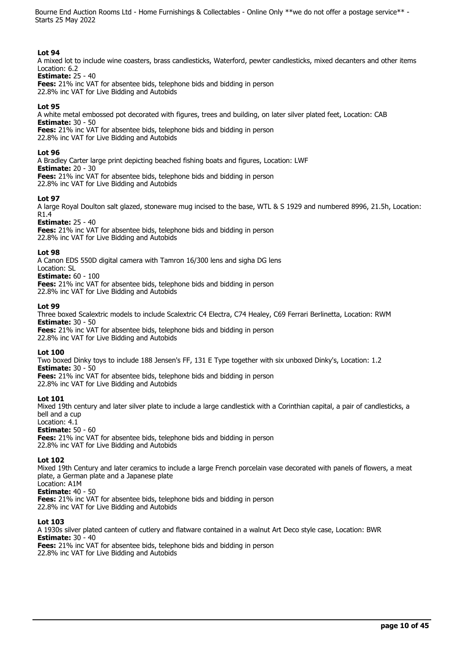# **Lot 94**

A mixed lot to include wine coasters, brass candlesticks, Waterford, pewter candlesticks, mixed decanters and other items Location: 6.2

#### **Estimate:** 25 - 40

**Fees:** 21% inc VAT for absentee bids, telephone bids and bidding in person 22.8% inc VAT for Live Bidding and Autobids

#### **Lot 95**

A white metal embossed pot decorated with figures, trees and building, on later silver plated feet, Location: CAB **Estimate:** 30 - 50

**Fees:** 21% inc VAT for absentee bids, telephone bids and bidding in person 22.8% inc VAT for Live Bidding and Autobids

#### **Lot 96**

A Bradley Carter large print depicting beached fishing boats and figures, Location: LWF **Estimate:** 20 - 30 **Fees:** 21% inc VAT for absentee bids, telephone bids and bidding in person 22.8% inc VAT for Live Bidding and Autobids

#### **Lot 97**

A large Royal Doulton salt glazed, stoneware mug incised to the base, WTL & S 1929 and numbered 8996, 21.5h, Location: R1.4

**Estimate:** 25 - 40

**Fees:** 21% inc VAT for absentee bids, telephone bids and bidding in person 22.8% inc VAT for Live Bidding and Autobids

#### **Lot 98**

A Canon EDS 550D digital camera with Tamron 16/300 lens and sigha DG lens Location: SL **Estimate:** 60 - 100 **Fees:** 21% inc VAT for absentee bids, telephone bids and bidding in person

22.8% inc VAT for Live Bidding and Autobids

#### **Lot 99**

Three boxed Scalextric models to include Scalextric C4 Electra, C74 Healey, C69 Ferrari Berlinetta, Location: RWM **Estimate:** 30 - 50 **Fees:** 21% inc VAT for absentee bids, telephone bids and bidding in person

22.8% inc VAT for Live Bidding and Autobids

# **Lot 100**

Two boxed Dinky toys to include 188 Jensen's FF, 131 E Type together with six unboxed Dinky's, Location: 1.2 **Estimate:** 30 - 50

**Fees:** 21% inc VAT for absentee bids, telephone bids and bidding in person 22.8% inc VAT for Live Bidding and Autobids

# **Lot 101**

Mixed 19th century and later silver plate to include a large candlestick with a Corinthian capital, a pair of candlesticks, a bell and a cup

# Location: 4.1

**Estimate:** 50 - 60 **Fees:** 21% inc VAT for absentee bids, telephone bids and bidding in person

22.8% inc VAT for Live Bidding and Autobids

# **Lot 102**

Mixed 19th Century and later ceramics to include a large French porcelain vase decorated with panels of flowers, a meat plate, a German plate and a Japanese plate Location: A1M

**Estimate:** 40 - 50

**Fees:** 21% inc VAT for absentee bids, telephone bids and bidding in person 22.8% inc VAT for Live Bidding and Autobids

# **Lot 103**

A 1930s silver plated canteen of cutlery and flatware contained in a walnut Art Deco style case, Location: BWR **Estimate:** 30 - 40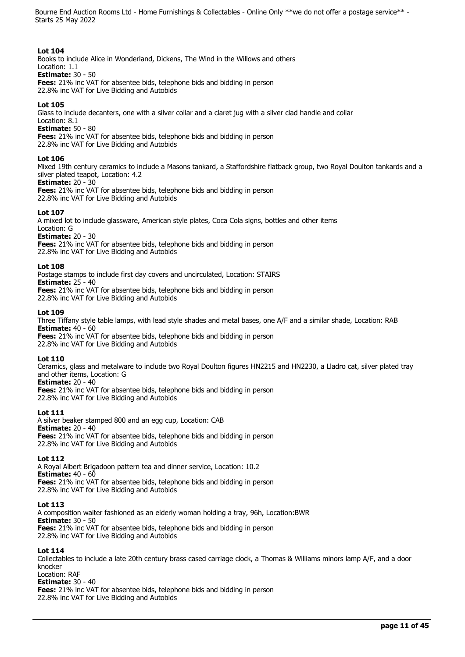#### **Lot 104**

Books to include Alice in Wonderland, Dickens, The Wind in the Willows and others Location: 1.1

**Estimate:** 30 - 50

**Fees:** 21% inc VAT for absentee bids, telephone bids and bidding in person 22.8% inc VAT for Live Bidding and Autobids

# **Lot 105**

Glass to include decanters, one with a silver collar and a claret jug with a silver clad handle and collar

Location: 8.1 **Estimate:** 50 - 80

**Fees:** 21% inc VAT for absentee bids, telephone bids and bidding in person

22.8% inc VAT for Live Bidding and Autobids

# **Lot 106**

Mixed 19th century ceramics to include a Masons tankard, a Staffordshire flatback group, two Royal Doulton tankards and a silver plated teapot, Location: 4.2

# **Estimate:** 20 - 30

**Fees:** 21% inc VAT for absentee bids, telephone bids and bidding in person 22.8% inc VAT for Live Bidding and Autobids

# **Lot 107**

A mixed lot to include glassware, American style plates, Coca Cola signs, bottles and other items Location: G

**Estimate:** 20 - 30

**Fees:** 21% inc VAT for absentee bids, telephone bids and bidding in person 22.8% inc VAT for Live Bidding and Autobids

# **Lot 108**

Postage stamps to include first day covers and uncirculated, Location: STAIRS **Estimate:** 25 - 40 **Fees:** 21% inc VAT for absentee bids, telephone bids and bidding in person

22.8% inc VAT for Live Bidding and Autobids

#### **Lot 109**

Three Tiffany style table lamps, with lead style shades and metal bases, one A/F and a similar shade, Location: RAB **Estimate:** 40 - 60

**Fees:** 21% inc VAT for absentee bids, telephone bids and bidding in person 22.8% inc VAT for Live Bidding and Autobids

# **Lot 110**

Ceramics, glass and metalware to include two Royal Doulton figures HN2215 and HN2230, a Lladro cat, silver plated tray and other items, Location: G

**Estimate:** 20 - 40

**Fees:** 21% inc VAT for absentee bids, telephone bids and bidding in person 22.8% inc VAT for Live Bidding and Autobids

# **Lot 111**

A silver beaker stamped 800 and an egg cup, Location: CAB **Estimate:** 20 - 40 **Fees:** 21% inc VAT for absentee bids, telephone bids and bidding in person 22.8% inc VAT for Live Bidding and Autobids

# **Lot 112**

A Royal Albert Brigadoon pattern tea and dinner service, Location: 10.2 **Estimate:** 40 - 60 **Fees:** 21% inc VAT for absentee bids, telephone bids and bidding in person 22.8% inc VAT for Live Bidding and Autobids

# **Lot 113**

A composition waiter fashioned as an elderly woman holding a tray, 96h, Location:BWR **Estimate:** 30 - 50 **Fees:** 21% inc VAT for absentee bids, telephone bids and bidding in person 22.8% inc VAT for Live Bidding and Autobids

# **Lot 114**

Collectables to include a late 20th century brass cased carriage clock, a Thomas & Williams minors lamp A/F, and a door knocker

Location: RAF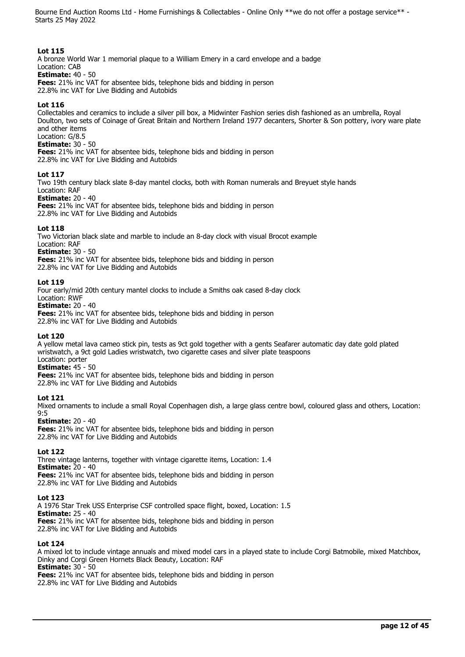# **Lot 115**

A bronze World War 1 memorial plaque to a William Emery in a card envelope and a badge Location: CAB

**Estimate:** 40 - 50

**Fees:** 21% inc VAT for absentee bids, telephone bids and bidding in person 22.8% inc VAT for Live Bidding and Autobids

# **Lot 116**

Collectables and ceramics to include a silver pill box, a Midwinter Fashion series dish fashioned as an umbrella, Royal Doulton, two sets of Coinage of Great Britain and Northern Ireland 1977 decanters, Shorter & Son pottery, ivory ware plate and other items Location: G/8.5

**Estimate:** 30 - 50

**Fees:** 21% inc VAT for absentee bids, telephone bids and bidding in person 22.8% inc VAT for Live Bidding and Autobids

# **Lot 117**

Two 19th century black slate 8-day mantel clocks, both with Roman numerals and Breyuet style hands Location: RAF

**Estimate:** 20 - 40

**Fees:** 21% inc VAT for absentee bids, telephone bids and bidding in person 22.8% inc VAT for Live Bidding and Autobids

# **Lot 118**

Two Victorian black slate and marble to include an 8-day clock with visual Brocot example Location: RAF **Estimate:** 30 - 50 **Fees:** 21% inc VAT for absentee bids, telephone bids and bidding in person

22.8% inc VAT for Live Bidding and Autobids

# **Lot 119**

Four early/mid 20th century mantel clocks to include a Smiths oak cased 8-day clock Location: RWF **Estimate:** 20 - 40 **Fees:** 21% inc VAT for absentee bids, telephone bids and bidding in person 22.8% inc VAT for Live Bidding and Autobids

# **Lot 120**

A yellow metal lava cameo stick pin, tests as 9ct gold together with a gents Seafarer automatic day date gold plated wristwatch, a 9ct gold Ladies wristwatch, two cigarette cases and silver plate teaspoons Location: porter

# **Estimate:** 45 - 50

**Fees:** 21% inc VAT for absentee bids, telephone bids and bidding in person 22.8% inc VAT for Live Bidding and Autobids

# **Lot 121**

Mixed ornaments to include a small Royal Copenhagen dish, a large glass centre bowl, coloured glass and others, Location: 9:5

# **Estimate:** 20 - 40

**Fees:** 21% inc VAT for absentee bids, telephone bids and bidding in person 22.8% inc VAT for Live Bidding and Autobids

# **Lot 122**

Three vintage lanterns, together with vintage cigarette items, Location: 1.4 **Estimate:** 20 - 40 **Fees:** 21% inc VAT for absentee bids, telephone bids and bidding in person 22.8% inc VAT for Live Bidding and Autobids

# **Lot 123**

A 1976 Star Trek USS Enterprise CSF controlled space flight, boxed, Location: 1.5 **Estimate:** 25 - 40 **Fees:** 21% inc VAT for absentee bids, telephone bids and bidding in person 22.8% inc VAT for Live Bidding and Autobids

# **Lot 124**

A mixed lot to include vintage annuals and mixed model cars in a played state to include Corgi Batmobile, mixed Matchbox, Dinky and Corgi Green Hornets Black Beauty, Location: RAF **Estimate:** 30 - 50

**Fees:** 21% inc VAT for absentee bids, telephone bids and bidding in person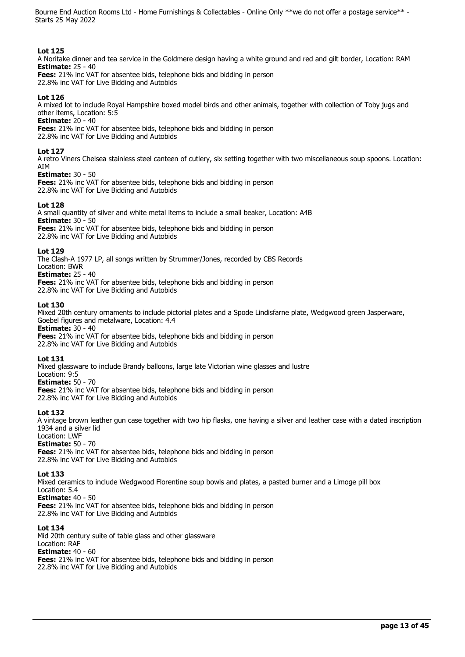# **Lot 125**

A Noritake dinner and tea service in the Goldmere design having a white ground and red and gilt border, Location: RAM **Estimate:** 25 - 40

**Fees:** 21% inc VAT for absentee bids, telephone bids and bidding in person 22.8% inc VAT for Live Bidding and Autobids

#### **Lot 126**

A mixed lot to include Royal Hampshire boxed model birds and other animals, together with collection of Toby jugs and other items, Location: 5:5

#### **Estimate:** 20 - 40

**Fees:** 21% inc VAT for absentee bids, telephone bids and bidding in person 22.8% inc VAT for Live Bidding and Autobids

#### **Lot 127**

A retro Viners Chelsea stainless steel canteen of cutlery, six setting together with two miscellaneous soup spoons. Location: AIM

#### **Estimate:** 30 - 50

**Fees:** 21% inc VAT for absentee bids, telephone bids and bidding in person 22.8% inc VAT for Live Bidding and Autobids

#### **Lot 128**

A small quantity of silver and white metal items to include a small beaker, Location: A4B **Estimate:** 30 - 50 **Fees:** 21% inc VAT for absentee bids, telephone bids and bidding in person 22.8% inc VAT for Live Bidding and Autobids

#### **Lot 129**

The Clash-A 1977 LP, all songs written by Strummer/Jones, recorded by CBS Records Location: BWR **Estimate:** 25 - 40

**Fees:** 21% inc VAT for absentee bids, telephone bids and bidding in person 22.8% inc VAT for Live Bidding and Autobids

#### **Lot 130**

Mixed 20th century ornaments to include pictorial plates and a Spode Lindisfarne plate, Wedgwood green Jasperware, Goebel figures and metalware, Location: 4.4

**Estimate:** 30 - 40

**Fees:** 21% inc VAT for absentee bids, telephone bids and bidding in person 22.8% inc VAT for Live Bidding and Autobids

# **Lot 131**

Mixed glassware to include Brandy balloons, large late Victorian wine glasses and lustre

Location: 9:5 **Estimate:** 50 - 70

**Fees:** 21% inc VAT for absentee bids, telephone bids and bidding in person 22.8% inc VAT for Live Bidding and Autobids

# **Lot 132**

A vintage brown leather gun case together with two hip flasks, one having a silver and leather case with a dated inscription 1934 and a silver lid

# Location: LWF

**Estimate:** 50 - 70 **Fees:** 21% inc VAT for absentee bids, telephone bids and bidding in person 22.8% inc VAT for Live Bidding and Autobids

#### **Lot 133**

Mixed ceramics to include Wedgwood Florentine soup bowls and plates, a pasted burner and a Limoge pill box Location: 5.4 **Estimate:** 40 - 50

**Fees:** 21% inc VAT for absentee bids, telephone bids and bidding in person 22.8% inc VAT for Live Bidding and Autobids

# **Lot 134**

Mid 20th century suite of table glass and other glassware Location: RAF **Estimate:** 40 - 60 **Fees:** 21% inc VAT for absentee bids, telephone bids and bidding in person 22.8% inc VAT for Live Bidding and Autobids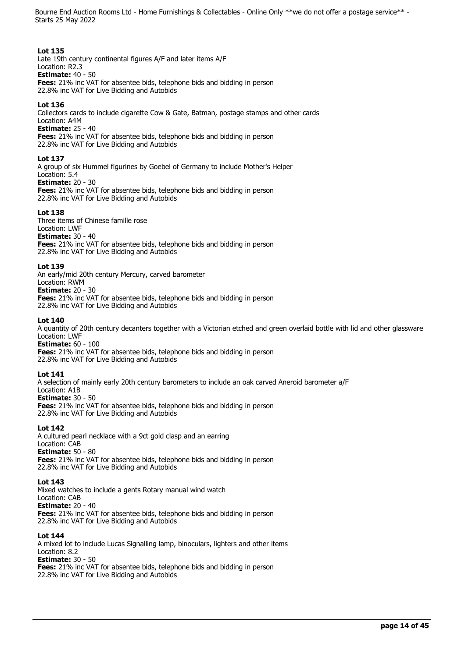# **Lot 135**

Late 19th century continental figures A/F and later items A/F Location: R2.3 **Estimate:** 40 - 50 **Fees:** 21% inc VAT for absentee bids, telephone bids and bidding in person

22.8% inc VAT for Live Bidding and Autobids

# **Lot 136**

Collectors cards to include cigarette Cow & Gate, Batman, postage stamps and other cards Location: A4M

**Estimate:** 25 - 40

**Fees:** 21% inc VAT for absentee bids, telephone bids and bidding in person 22.8% inc VAT for Live Bidding and Autobids

# **Lot 137**

A group of six Hummel figurines by Goebel of Germany to include Mother's Helper Location: 5.4

# **Estimate:** 20 - 30

**Fees:** 21% inc VAT for absentee bids, telephone bids and bidding in person 22.8% inc VAT for Live Bidding and Autobids

# **Lot 138**

Three items of Chinese famille rose

#### Location: LWF **Estimate:** 30 - 40

**Fees:** 21% inc VAT for absentee bids, telephone bids and bidding in person 22.8% inc VAT for Live Bidding and Autobids

# **Lot 139**

An early/mid 20th century Mercury, carved barometer Location: RWM **Estimate:** 20 - 30 **Fees:** 21% inc VAT for absentee bids, telephone bids and bidding in person

22.8% inc VAT for Live Bidding and Autobids

# **Lot 140**

A quantity of 20th century decanters together with a Victorian etched and green overlaid bottle with lid and other glassware Location: LWF

# **Estimate:** 60 - 100

**Fees:** 21% inc VAT for absentee bids, telephone bids and bidding in person 22.8% inc VAT for Live Bidding and Autobids

# **Lot 141**

A selection of mainly early 20th century barometers to include an oak carved Aneroid barometer a/F Location: A1B **Estimate:** 30 - 50 **Fees:** 21% inc VAT for absentee bids, telephone bids and bidding in person 22.8% inc VAT for Live Bidding and Autobids

# **Lot 142**

A cultured pearl necklace with a 9ct gold clasp and an earring Location: CAB **Estimate:** 50 - 80 **Fees:** 21% inc VAT for absentee bids, telephone bids and bidding in person 22.8% inc VAT for Live Bidding and Autobids

# **Lot 143**

Mixed watches to include a gents Rotary manual wind watch Location: CAB **Estimate:** 20 - 40 **Fees:** 21% inc VAT for absentee bids, telephone bids and bidding in person 22.8% inc VAT for Live Bidding and Autobids

# **Lot 144**

A mixed lot to include Lucas Signalling lamp, binoculars, lighters and other items Location: 8.2 **Estimate:** 30 - 50 **Fees:** 21% inc VAT for absentee bids, telephone bids and bidding in person 22.8% inc VAT for Live Bidding and Autobids

**page 14 of 45**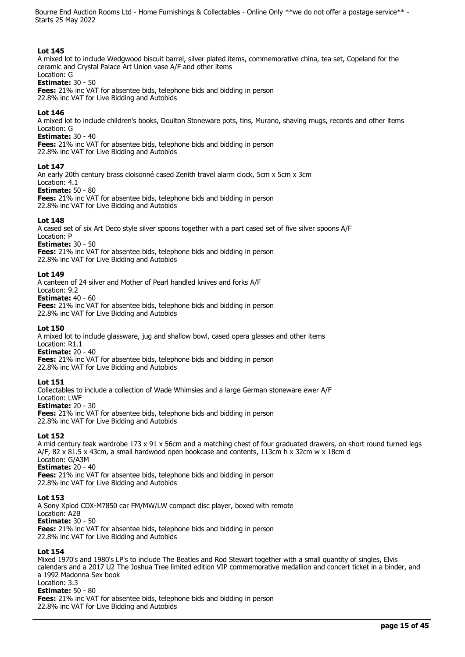# **Lot 145**

A mixed lot to include Wedgwood biscuit barrel, silver plated items, commemorative china, tea set, Copeland for the ceramic and Crystal Palace Art Union vase A/F and other items Location: G

# **Estimate:** 30 - 50

**Fees:** 21% inc VAT for absentee bids, telephone bids and bidding in person 22.8% inc VAT for Live Bidding and Autobids

#### **Lot 146**

A mixed lot to include children's books, Doulton Stoneware pots, tins, Murano, shaving mugs, records and other items Location: G

#### **Estimate:** 30 - 40

**Fees:** 21% inc VAT for absentee bids, telephone bids and bidding in person 22.8% inc VAT for Live Bidding and Autobids

#### **Lot 147**

An early 20th century brass cloisonné cased Zenith travel alarm clock, 5cm x 5cm x 3cm Location: 4.1

# **Estimate:** 50 - 80

**Fees:** 21% inc VAT for absentee bids, telephone bids and bidding in person 22.8% inc VAT for Live Bidding and Autobids

#### **Lot 148**

A cased set of six Art Deco style silver spoons together with a part cased set of five silver spoons A/F Location: P

**Estimate:** 30 - 50

**Fees:** 21% inc VAT for absentee bids, telephone bids and bidding in person 22.8% inc VAT for Live Bidding and Autobids

#### **Lot 149**

A canteen of 24 silver and Mother of Pearl handled knives and forks A/F

Location: 9.2

**Estimate:** 40 - 60 **Fees:** 21% inc VAT for absentee bids, telephone bids and bidding in person 22.8% inc VAT for Live Bidding and Autobids

#### **Lot 150**

A mixed lot to include glassware, jug and shallow bowl, cased opera glasses and other items Location: R1.1

**Estimate:** 20 - 40

**Fees:** 21% inc VAT for absentee bids, telephone bids and bidding in person

22.8% inc VAT for Live Bidding and Autobids

#### **Lot 151**

Collectables to include a collection of Wade Whimsies and a large German stoneware ewer A/F Location: LWF **Estimate:** 20 - 30 **Fees:** 21% inc VAT for absentee bids, telephone bids and bidding in person

22.8% inc VAT for Live Bidding and Autobids

# **Lot 152**

A mid century teak wardrobe 173 x 91 x 56cm and a matching chest of four graduated drawers, on short round turned legs A/F, 82 x 81.5 x 43cm, a small hardwood open bookcase and contents, 113cm h x 32cm w x 18cm d Location: G/A3M **Estimate:** 20 - 40

**Fees:** 21% inc VAT for absentee bids, telephone bids and bidding in person 22.8% inc VAT for Live Bidding and Autobids

#### **Lot 153**

A Sony Xplod CDX-M7850 car FM/MW/LW compact disc player, boxed with remote Location: A2B **Estimate:** 30 - 50 **Fees:** 21% inc VAT for absentee bids, telephone bids and bidding in person 22.8% inc VAT for Live Bidding and Autobids

#### **Lot 154**

Mixed 1970's and 1980's LP's to include The Beatles and Rod Stewart together with a small quantity of singles, Elvis calendars and a 2017 U2 The Joshua Tree limited edition VIP commemorative medallion and concert ticket in a binder, and a 1992 Madonna Sex book Location: 3.3 **Estimate:** 50 - 80 **Fees:** 21% inc VAT for absentee bids, telephone bids and bidding in person 22.8% inc VAT for Live Bidding and Autobids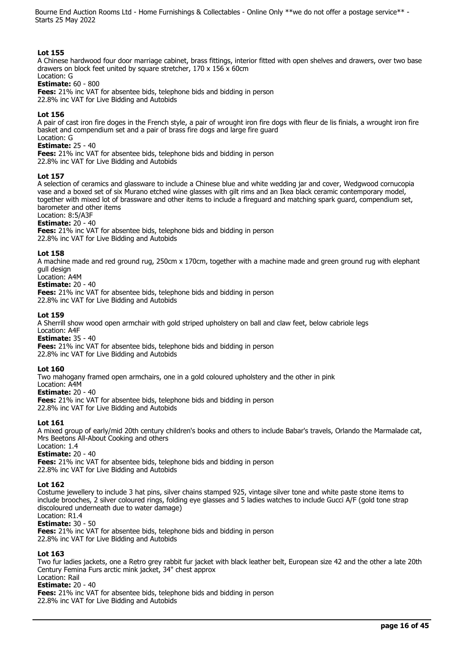# **Lot 155**

A Chinese hardwood four door marriage cabinet, brass fittings, interior fitted with open shelves and drawers, over two base drawers on block feet united by square stretcher, 170 x 156 x 60cm Location: G

# **Estimate:** 60 - 800

**Fees:** 21% inc VAT for absentee bids, telephone bids and bidding in person 22.8% inc VAT for Live Bidding and Autobids

# **Lot 156**

A pair of cast iron fire doges in the French style, a pair of wrought iron fire dogs with fleur de lis finials, a wrought iron fire basket and compendium set and a pair of brass fire dogs and large fire guard

#### Location: G **Estimate:** 25 - 40

**Fees:** 21% inc VAT for absentee bids, telephone bids and bidding in person 22.8% inc VAT for Live Bidding and Autobids

#### **Lot 157**

A selection of ceramics and glassware to include a Chinese blue and white wedding jar and cover, Wedgwood cornucopia vase and a boxed set of six Murano etched wine glasses with gilt rims and an Ikea black ceramic contemporary model, together with mixed lot of brassware and other items to include a fireguard and matching spark guard, compendium set, barometer and other items

Location: 8:5/A3F

#### **Estimate:** 20 - 40

**Fees:** 21% inc VAT for absentee bids, telephone bids and bidding in person 22.8% inc VAT for Live Bidding and Autobids

#### **Lot 158**

A machine made and red ground rug, 250cm x 170cm, together with a machine made and green ground rug with elephant gull design

# Location: A4M

**Estimate:** 20 - 40

**Fees:** 21% inc VAT for absentee bids, telephone bids and bidding in person 22.8% inc VAT for Live Bidding and Autobids

#### **Lot 159**

A Sherrill show wood open armchair with gold striped upholstery on ball and claw feet, below cabriole legs Location: A4F

**Estimate:** 35 - 40

**Fees:** 21% inc VAT for absentee bids, telephone bids and bidding in person

22.8% inc VAT for Live Bidding and Autobids

# **Lot 160**

Two mahogany framed open armchairs, one in a gold coloured upholstery and the other in pink

Location: A4M

**Estimate:** 20 - 40 **Fees:** 21% inc VAT for absentee bids, telephone bids and bidding in person 22.8% inc VAT for Live Bidding and Autobids

#### **Lot 161**

A mixed group of early/mid 20th century children's books and others to include Babar's travels, Orlando the Marmalade cat, Mrs Beetons All-About Cooking and others

#### Location: 1.4 **Estimate:** 20 - 40

**Fees:** 21% inc VAT for absentee bids, telephone bids and bidding in person 22.8% inc VAT for Live Bidding and Autobids

# **Lot 162**

Costume jewellery to include 3 hat pins, silver chains stamped 925, vintage silver tone and white paste stone items to include brooches, 2 silver coloured rings, folding eye glasses and 5 ladies watches to include Gucci A/F (gold tone strap discoloured underneath due to water damage)

# Location: R1.4

**Estimate:** 30 - 50

**Fees:** 21% inc VAT for absentee bids, telephone bids and bidding in person 22.8% inc VAT for Live Bidding and Autobids

# **Lot 163**

Two fur ladies jackets, one a Retro grey rabbit fur jacket with black leather belt, European size 42 and the other a late 20th Century Femina Furs arctic mink jacket, 34" chest approx

#### Location: Rail **Estimate:** 20 - 40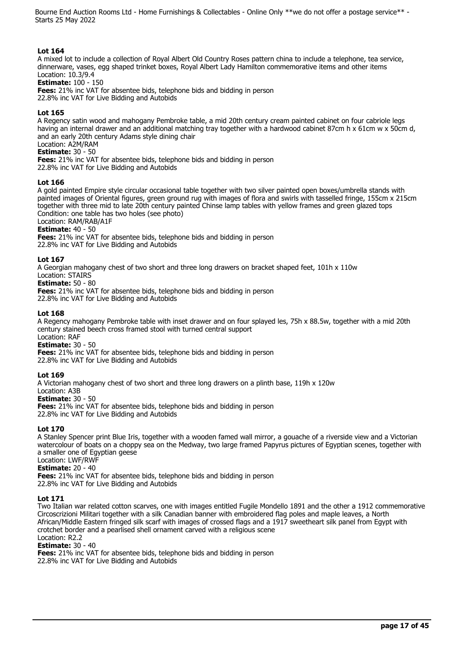# **Lot 164**

A mixed lot to include a collection of Royal Albert Old Country Roses pattern china to include a telephone, tea service, dinnerware, vases, egg shaped trinket boxes, Royal Albert Lady Hamilton commemorative items and other items Location: 10.3/9.4

#### **Estimate:** 100 - 150

**Fees:** 21% inc VAT for absentee bids, telephone bids and bidding in person 22.8% inc VAT for Live Bidding and Autobids

#### **Lot 165**

A Regency satin wood and mahogany Pembroke table, a mid 20th century cream painted cabinet on four cabriole legs having an internal drawer and an additional matching tray together with a hardwood cabinet 87cm h x 61cm w x 50cm d, and an early 20th century Adams style dining chair

#### Location: A2M/RAM **Estimate:** 30 - 50

**Fees:** 21% inc VAT for absentee bids, telephone bids and bidding in person 22.8% inc VAT for Live Bidding and Autobids

#### **Lot 166**

A gold painted Empire style circular occasional table together with two silver painted open boxes/umbrella stands with painted images of Oriental figures, green ground rug with images of flora and swirls with tasselled fringe, 155cm x 215cm together with three mid to late 20th century painted Chinse lamp tables with yellow frames and green glazed tops Condition: one table has two holes (see photo) Location: RAM/RAB/A1F

# **Estimate:** 40 - 50

**Fees:** 21% inc VAT for absentee bids, telephone bids and bidding in person 22.8% inc VAT for Live Bidding and Autobids

#### **Lot 167**

A Georgian mahogany chest of two short and three long drawers on bracket shaped feet, 101h x 110w

Location: STAIRS **Estimate:** 50 - 80

**Fees:** 21% inc VAT for absentee bids, telephone bids and bidding in person

22.8% inc VAT for Live Bidding and Autobids

#### **Lot 168**

A Regency mahogany Pembroke table with inset drawer and on four splayed les, 75h x 88.5w, together with a mid 20th century stained beech cross framed stool with turned central support Location: RAF

**Estimate:** 30 - 50

**Fees:** 21% inc VAT for absentee bids, telephone bids and bidding in person 22.8% inc VAT for Live Bidding and Autobids

# **Lot 169**

A Victorian mahogany chest of two short and three long drawers on a plinth base, 119h x 120w

Location: A3B

**Estimate:** 30 - 50

**Fees:** 21% inc VAT for absentee bids, telephone bids and bidding in person

22.8% inc VAT for Live Bidding and Autobids

# **Lot 170**

A Stanley Spencer print Blue Iris, together with a wooden famed wall mirror, a gouache of a riverside view and a Victorian watercolour of boats on a choppy sea on the Medway, two large framed Papyrus pictures of Egyptian scenes, together with a smaller one of Egyptian geese Location: LWF/RWF

# **Estimate:** 20 - 40

**Fees:** 21% inc VAT for absentee bids, telephone bids and bidding in person 22.8% inc VAT for Live Bidding and Autobids

# **Lot 171**

Two Italian war related cotton scarves, one with images entitled Fugile Mondello 1891 and the other a 1912 commemorative Circoscrizioni Militari together with a silk Canadian banner with embroidered flag poles and maple leaves, a North African/Middle Eastern fringed silk scarf with images of crossed flags and a 1917 sweetheart silk panel from Egypt with crotchet border and a pearlised shell ornament carved with a religious scene Location: R2.2

#### **Estimate:** 30 - 40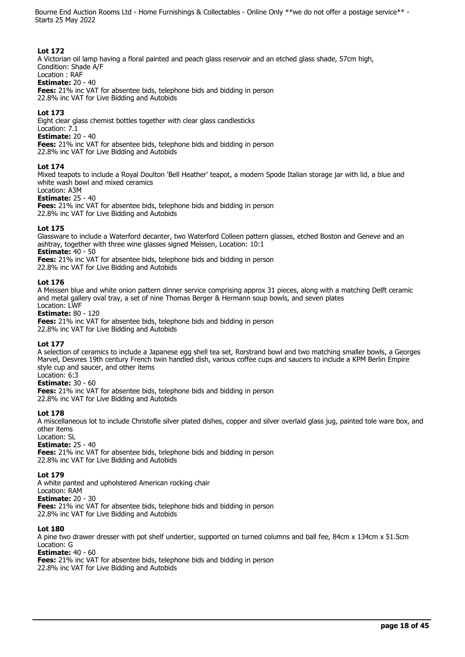# **Lot 172**

A Victorian oil lamp having a floral painted and peach glass reservoir and an etched glass shade, 57cm high, Condition: Shade A/F

# Location : RAF

**Estimate:** 20 - 40

**Fees:** 21% inc VAT for absentee bids, telephone bids and bidding in person 22.8% inc VAT for Live Bidding and Autobids

# **Lot 173**

Eight clear glass chemist bottles together with clear glass candlesticks

#### Location: 7.1 **Estimate:** 20 - 40

**Fees:** 21% inc VAT for absentee bids, telephone bids and bidding in person 22.8% inc VAT for Live Bidding and Autobids

# **Lot 174**

Mixed teapots to include a Royal Doulton 'Bell Heather' teapot, a modern Spode Italian storage jar with lid, a blue and white wash bowl and mixed ceramics

# Location: A3M

**Estimate:** 25 - 40

**Fees:** 21% inc VAT for absentee bids, telephone bids and bidding in person

22.8% inc VAT for Live Bidding and Autobids

# **Lot 175**

Glassware to include a Waterford decanter, two Waterford Colleen pattern glasses, etched Boston and Geneve and an ashtray, together with three wine glasses signed Meissen, Location: 10:1

**Estimate:** 40 - 50

**Fees:** 21% inc VAT for absentee bids, telephone bids and bidding in person

22.8% inc VAT for Live Bidding and Autobids

# **Lot 176**

A Meissen blue and white onion pattern dinner service comprising approx 31 pieces, along with a matching Delft ceramic and metal gallery oval tray, a set of nine Thomas Berger & Hermann soup bowls, and seven plates Location: LWF

**Estimate:** 80 - 120

**Fees:** 21% inc VAT for absentee bids, telephone bids and bidding in person 22.8% inc VAT for Live Bidding and Autobids

# **Lot 177**

A selection of ceramics to include a Japanese egg shell tea set, Rorstrand bowl and two matching smaller bowls, a Georges Marvel, Desvres 19th century French twin handled dish, various coffee cups and saucers to include a KPM Berlin Empire style cup and saucer, and other items

# Location: 6:3

**Estimate:** 30 - 60

**Fees:** 21% inc VAT for absentee bids, telephone bids and bidding in person 22.8% inc VAT for Live Bidding and Autobids

# **Lot 178**

A miscellaneous lot to include Christofle silver plated dishes, copper and silver overlaid glass jug, painted tole ware box, and other items

# Location: SL

**Estimate:** 25 - 40

**Fees:** 21% inc VAT for absentee bids, telephone bids and bidding in person 22.8% inc VAT for Live Bidding and Autobids

# **Lot 179**

A white panted and upholstered American rocking chair Location: RAM **Estimate:** 20 - 30 **Fees:** 21% inc VAT for absentee bids, telephone bids and bidding in person 22.8% inc VAT for Live Bidding and Autobids

# **Lot 180**

A pine two drawer dresser with pot shelf undertier, supported on turned columns and ball fee, 84cm x 134cm x 51.5cm Location: G

# **Estimate:** 40 - 60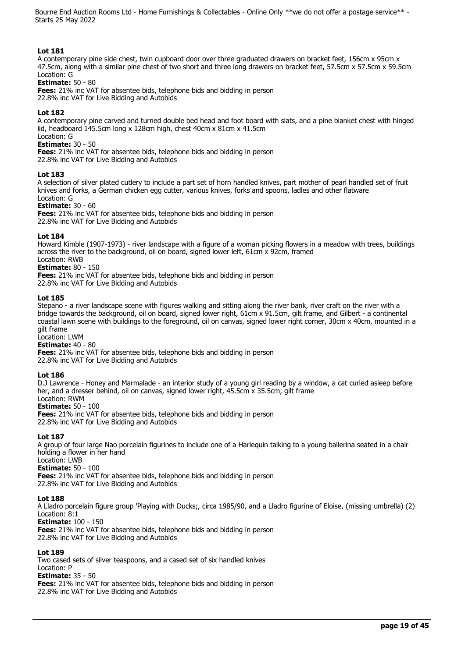# **Lot 181**

A contemporary pine side chest, twin cupboard door over three graduated drawers on bracket feet, 156cm x 95cm x 47.5cm, along with a similar pine chest of two short and three long drawers on bracket feet, 57.5cm x 57.5cm x 59.5cm Location: G

#### **Estimate:** 50 - 80

**Fees:** 21% inc VAT for absentee bids, telephone bids and bidding in person 22.8% inc VAT for Live Bidding and Autobids

#### **Lot 182**

A contemporary pine carved and turned double bed head and foot board with slats, and a pine blanket chest with hinged lid, headboard 145.5cm long x 128cm high, chest 40cm x 81cm x 41.5cm

#### Location: G **Estimate:** 30 - 50

**Fees:** 21% inc VAT for absentee bids, telephone bids and bidding in person

22.8% inc VAT for Live Bidding and Autobids

#### **Lot 183**

A selection of silver plated cutlery to include a part set of horn handled knives, part mother of pearl handled set of fruit knives and forks, a German chicken egg cutter, various knives, forks and spoons, ladles and other flatware Location: G

#### **Estimate:** 30 - 60

**Fees:** 21% inc VAT for absentee bids, telephone bids and bidding in person 22.8% inc VAT for Live Bidding and Autobids

#### **Lot 184**

Howard Kimble (1907-1973) - river landscape with a figure of a woman picking flowers in a meadow with trees, buildings across the river to the background, oil on board, signed lower left, 61cm x 92cm, framed Location: RWB

# **Estimate:** 80 - 150

**Fees:** 21% inc VAT for absentee bids, telephone bids and bidding in person 22.8% inc VAT for Live Bidding and Autobids

**Lot 185** 

Stepano - a river landscape scene with figures walking and sitting along the river bank, river craft on the river with a bridge towards the background, oil on board, signed lower right, 61cm x 91.5cm, gilt frame, and Gilbert - a continental coastal lawn scene with buildings to the foreground, oil on canvas, signed lower right corner, 30cm x 40cm, mounted in a gilt frame

Location: LWM

# **Estimate:** 40 - 80

**Fees:** 21% inc VAT for absentee bids, telephone bids and bidding in person 22.8% inc VAT for Live Bidding and Autobids

#### **Lot 186**

D.J Lawrence - Honey and Marmalade - an interior study of a young girl reading by a window, a cat curled asleep before her, and a dresser behind, oil on canvas, signed lower right, 45.5cm x 35.5cm, gilt frame Location: RWM

#### **Estimate:** 50 - 100

**Fees:** 21% inc VAT for absentee bids, telephone bids and bidding in person 22.8% inc VAT for Live Bidding and Autobids

#### **Lot 187**

A group of four large Nao porcelain figurines to include one of a Harlequin talking to a young ballerina seated in a chair holding a flower in her hand

#### Location: LWB **Estimate:** 50 - 100

**Fees:** 21% inc VAT for absentee bids, telephone bids and bidding in person 22.8% inc VAT for Live Bidding and Autobids

#### **Lot 188**

A Lladro porcelain figure group 'Playing with Ducks;, circa 1985/90, and a Lladro figurine of Eloise, (missing umbrella) (2) Location: 8:1

**Estimate:** 100 - 150

**Fees:** 21% inc VAT for absentee bids, telephone bids and bidding in person 22.8% inc VAT for Live Bidding and Autobids

# **Lot 189**

Two cased sets of silver teaspoons, and a cased set of six handled knives Location: P **Estimate:** 35 - 50 **Fees:** 21% inc VAT for absentee bids, telephone bids and bidding in person 22.8% inc VAT for Live Bidding and Autobids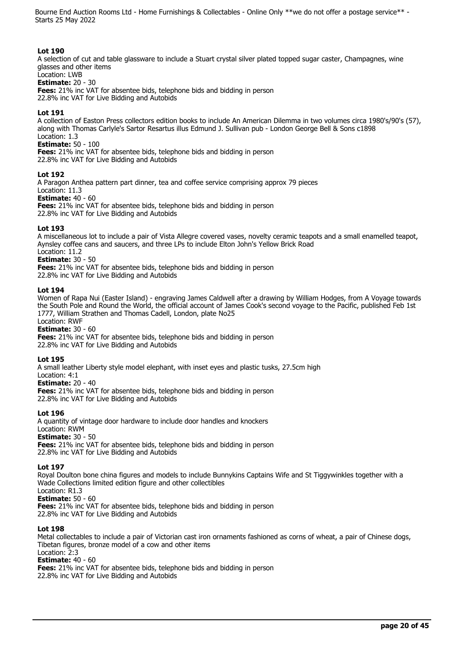#### **Lot 190**

A selection of cut and table glassware to include a Stuart crystal silver plated topped sugar caster, Champagnes, wine glasses and other items

# Location: LWB

**Estimate:** 20 - 30

**Fees:** 21% inc VAT for absentee bids, telephone bids and bidding in person 22.8% inc VAT for Live Bidding and Autobids

# **Lot 191**

A collection of Easton Press collectors edition books to include An American Dilemma in two volumes circa 1980's/90's (57), along with Thomas Carlyle's Sartor Resartus illus Edmund J. Sullivan pub - London George Bell & Sons c1898 Location: 1.3

**Estimate:** 50 - 100

**Fees:** 21% inc VAT for absentee bids, telephone bids and bidding in person

22.8% inc VAT for Live Bidding and Autobids

#### **Lot 192**

A Paragon Anthea pattern part dinner, tea and coffee service comprising approx 79 pieces Location: 11.3 **Estimate:** 40 - 60 **Fees:** 21% inc VAT for absentee bids, telephone bids and bidding in person

22.8% inc VAT for Live Bidding and Autobids

#### **Lot 193**

A miscellaneous lot to include a pair of Vista Allegre covered vases, novelty ceramic teapots and a small enamelled teapot, Aynsley coffee cans and saucers, and three LPs to include Elton John's Yellow Brick Road Location: 11.2

**Estimate:** 30 - 50

**Fees:** 21% inc VAT for absentee bids, telephone bids and bidding in person 22.8% inc VAT for Live Bidding and Autobids

#### **Lot 194**

Women of Rapa Nui (Easter Island) - engraving James Caldwell after a drawing by William Hodges, from A Voyage towards the South Pole and Round the World, the official account of James Cook's second voyage to the Pacific, published Feb 1st 1777, William Strathen and Thomas Cadell, London, plate No25

Location: RWF

**Estimate:** 30 - 60

**Fees:** 21% inc VAT for absentee bids, telephone bids and bidding in person 22.8% inc VAT for Live Bidding and Autobids

# **Lot 195**

A small leather Liberty style model elephant, with inset eyes and plastic tusks, 27.5cm high

Location: 4:1

**Estimate:** 20 - 40

**Fees:** 21% inc VAT for absentee bids, telephone bids and bidding in person 22.8% inc VAT for Live Bidding and Autobids

# **Lot 196**

A quantity of vintage door hardware to include door handles and knockers Location: RWM **Estimate:** 30 - 50 **Fees:** 21% inc VAT for absentee bids, telephone bids and bidding in person 22.8% inc VAT for Live Bidding and Autobids

# **Lot 197**

Royal Doulton bone china figures and models to include Bunnykins Captains Wife and St Tiggywinkles together with a Wade Collections limited edition figure and other collectibles

Location: R1.3 **Estimate:** 50 - 60

**Fees:** 21% inc VAT for absentee bids, telephone bids and bidding in person

22.8% inc VAT for Live Bidding and Autobids

# **Lot 198**

Metal collectables to include a pair of Victorian cast iron ornaments fashioned as corns of wheat, a pair of Chinese dogs, Tibetan figures, bronze model of a cow and other items

# Location: 2:3

**Estimate:** 40 - 60

**Fees:** 21% inc VAT for absentee bids, telephone bids and bidding in person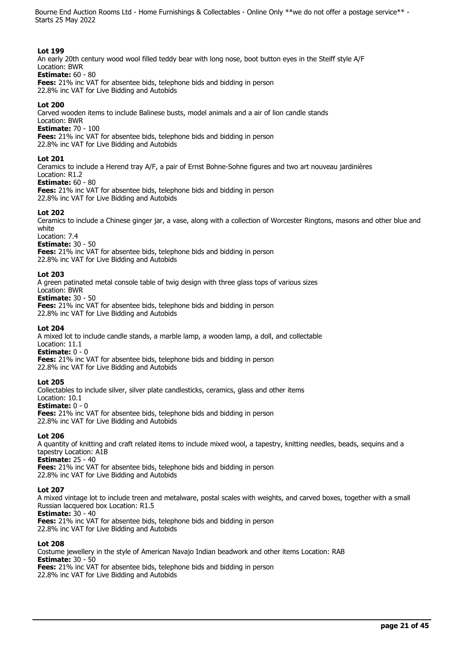# **Lot 199**

An early 20th century wood wool filled teddy bear with long nose, boot button eyes in the Steiff style A/F Location: BWR

# **Estimate:** 60 - 80

**Fees:** 21% inc VAT for absentee bids, telephone bids and bidding in person 22.8% inc VAT for Live Bidding and Autobids

# **Lot 200**

Carved wooden items to include Balinese busts, model animals and a air of lion candle stands

Location: BWR

**Estimate:** 70 - 100

**Fees:** 21% inc VAT for absentee bids, telephone bids and bidding in person

22.8% inc VAT for Live Bidding and Autobids

# **Lot 201**

Ceramics to include a Herend tray A/F, a pair of Ernst Bohne-Sohne figures and two art nouveau jardinières Location: R1.2

# **Estimate:** 60 - 80

**Fees:** 21% inc VAT for absentee bids, telephone bids and bidding in person 22.8% inc VAT for Live Bidding and Autobids

# **Lot 202**

Ceramics to include a Chinese ginger jar, a vase, along with a collection of Worcester Ringtons, masons and other blue and white

Location: 7.4

**Estimate:** 30 - 50

**Fees:** 21% inc VAT for absentee bids, telephone bids and bidding in person 22.8% inc VAT for Live Bidding and Autobids

# **Lot 203**

A green patinated metal console table of twig design with three glass tops of various sizes

Location: BWR

**Estimate:** 30 - 50 **Fees:** 21% inc VAT for absentee bids, telephone bids and bidding in person 22.8% inc VAT for Live Bidding and Autobids

# **Lot 204**

A mixed lot to include candle stands, a marble lamp, a wooden lamp, a doll, and collectable Location: 11.1

**Estimate:** 0 - 0 **Fees:** 21% inc VAT for absentee bids, telephone bids and bidding in person 22.8% inc VAT for Live Bidding and Autobids

# **Lot 205**

Collectables to include silver, silver plate candlesticks, ceramics, glass and other items

Location: 10.1 **Estimate:**  $0 - 0$ 

**Fees:** 21% inc VAT for absentee bids, telephone bids and bidding in person 22.8% inc VAT for Live Bidding and Autobids

# **Lot 206**

A quantity of knitting and craft related items to include mixed wool, a tapestry, knitting needles, beads, sequins and a tapestry Location: A1B **Estimate:** 25 - 40

**Fees:** 21% inc VAT for absentee bids, telephone bids and bidding in person 22.8% inc VAT for Live Bidding and Autobids

# **Lot 207**

A mixed vintage lot to include treen and metalware, postal scales with weights, and carved boxes, together with a small Russian lacquered box Location: R1.5 **Estimate:** 30 - 40

**Fees:** 21% inc VAT for absentee bids, telephone bids and bidding in person

22.8% inc VAT for Live Bidding and Autobids

# **Lot 208**

Costume jewellery in the style of American Navajo Indian beadwork and other items Location: RAB **Estimate:** 30 - 50 **Fees:** 21% inc VAT for absentee bids, telephone bids and bidding in person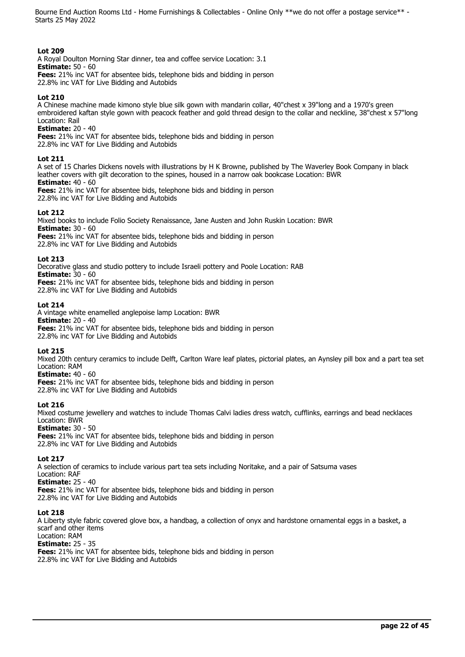# **Lot 209**

A Royal Doulton Morning Star dinner, tea and coffee service Location: 3.1 **Estimate:** 50 - 60

**Fees:** 21% inc VAT for absentee bids, telephone bids and bidding in person 22.8% inc VAT for Live Bidding and Autobids

# **Lot 210**

A Chinese machine made kimono style blue silk gown with mandarin collar, 40"chest x 39"long and a 1970's green embroidered kaftan style gown with peacock feather and gold thread design to the collar and neckline, 38"chest x 57"long Location: Rail

**Estimate:** 20 - 40

**Fees:** 21% inc VAT for absentee bids, telephone bids and bidding in person

22.8% inc VAT for Live Bidding and Autobids

# **Lot 211**

A set of 15 Charles Dickens novels with illustrations by H K Browne, published by The Waverley Book Company in black leather covers with gilt decoration to the spines, housed in a narrow oak bookcase Location: BWR **Estimate:** 40 - 60

**Fees:** 21% inc VAT for absentee bids, telephone bids and bidding in person 22.8% inc VAT for Live Bidding and Autobids

# **Lot 212**

Mixed books to include Folio Society Renaissance, Jane Austen and John Ruskin Location: BWR **Estimate:** 30 - 60

**Fees:** 21% inc VAT for absentee bids, telephone bids and bidding in person 22.8% inc VAT for Live Bidding and Autobids

# **Lot 213**

Decorative glass and studio pottery to include Israeli pottery and Poole Location: RAB

**Estimate:** 30 - 60

**Fees:** 21% inc VAT for absentee bids, telephone bids and bidding in person 22.8% inc VAT for Live Bidding and Autobids

# **Lot 214**

A vintage white enamelled anglepoise lamp Location: BWR **Estimate:** 20 - 40 **Fees:** 21% inc VAT for absentee bids, telephone bids and bidding in person 22.8% inc VAT for Live Bidding and Autobids

# **Lot 215**

Mixed 20th century ceramics to include Delft, Carlton Ware leaf plates, pictorial plates, an Aynsley pill box and a part tea set Location: RAM

# **Estimate:** 40 - 60

**Fees:** 21% inc VAT for absentee bids, telephone bids and bidding in person 22.8% inc VAT for Live Bidding and Autobids

# **Lot 216**

Mixed costume jewellery and watches to include Thomas Calvi ladies dress watch, cufflinks, earrings and bead necklaces Location: BWR

# **Estimate:** 30 - 50

**Fees:** 21% inc VAT for absentee bids, telephone bids and bidding in person 22.8% inc VAT for Live Bidding and Autobids

# **Lot 217**

A selection of ceramics to include various part tea sets including Noritake, and a pair of Satsuma vases Location: RAF **Estimate:** 25 - 40

**Fees:** 21% inc VAT for absentee bids, telephone bids and bidding in person 22.8% inc VAT for Live Bidding and Autobids

# **Lot 218**

A Liberty style fabric covered glove box, a handbag, a collection of onyx and hardstone ornamental eggs in a basket, a scarf and other items Location: RAM

# **Estimate:** 25 - 35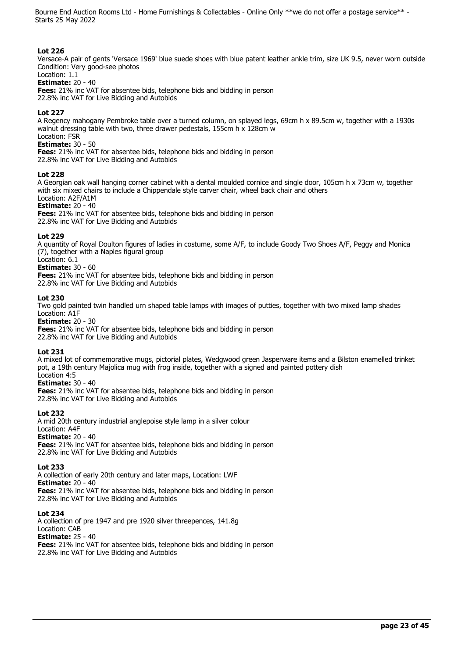#### **Lot 226**

Versace-A pair of gents 'Versace 1969' blue suede shoes with blue patent leather ankle trim, size UK 9.5, never worn outside Condition: Very good-see photos

#### Location: 1.1 **Estimate:** 20 - 40

**Fees:** 21% inc VAT for absentee bids, telephone bids and bidding in person

22.8% inc VAT for Live Bidding and Autobids

#### **Lot 227**

A Regency mahogany Pembroke table over a turned column, on splayed legs, 69cm h x 89.5cm w, together with a 1930s walnut dressing table with two, three drawer pedestals, 155cm h x 128cm w

Location: FSR **Estimate:** 30 - 50

**Fees:** 21% inc VAT for absentee bids, telephone bids and bidding in person

22.8% inc VAT for Live Bidding and Autobids

#### **Lot 228**

A Georgian oak wall hanging corner cabinet with a dental moulded cornice and single door, 105cm h x 73cm w, together with six mixed chairs to include a Chippendale style carver chair, wheel back chair and others Location: A2F/A1M

**Estimate:** 20 - 40

**Fees:** 21% inc VAT for absentee bids, telephone bids and bidding in person 22.8% inc VAT for Live Bidding and Autobids

#### **Lot 229**

A quantity of Royal Doulton figures of ladies in costume, some A/F, to include Goody Two Shoes A/F, Peggy and Monica (7), together with a Naples figural group

# Location: 6.1

**Estimate:** 30 - 60

**Fees:** 21% inc VAT for absentee bids, telephone bids and bidding in person 22.8% inc VAT for Live Bidding and Autobids

#### **Lot 230**

Two gold painted twin handled urn shaped table lamps with images of putties, together with two mixed lamp shades Location: A1F

**Estimate:** 20 - 30

**Fees:** 21% inc VAT for absentee bids, telephone bids and bidding in person 22.8% inc VAT for Live Bidding and Autobids

#### **Lot 231**

A mixed lot of commemorative mugs, pictorial plates, Wedgwood green Jasperware items and a Bilston enamelled trinket pot, a 19th century Majolica mug with frog inside, together with a signed and painted pottery dish Location 4:5

# **Estimate:** 30 - 40

**Fees:** 21% inc VAT for absentee bids, telephone bids and bidding in person 22.8% inc VAT for Live Bidding and Autobids

#### **Lot 232**

A mid 20th century industrial anglepoise style lamp in a silver colour Location: A4F **Estimate:** 20 - 40 **Fees:** 21% inc VAT for absentee bids, telephone bids and bidding in person 22.8% inc VAT for Live Bidding and Autobids

#### **Lot 233**

A collection of early 20th century and later maps, Location: LWF **Estimate:** 20 - 40 **Fees:** 21% inc VAT for absentee bids, telephone bids and bidding in person 22.8% inc VAT for Live Bidding and Autobids

#### **Lot 234**

A collection of pre 1947 and pre 1920 silver threepences, 141.8g Location: CAB **Estimate:** 25 - 40 **Fees:** 21% inc VAT for absentee bids, telephone bids and bidding in person 22.8% inc VAT for Live Bidding and Autobids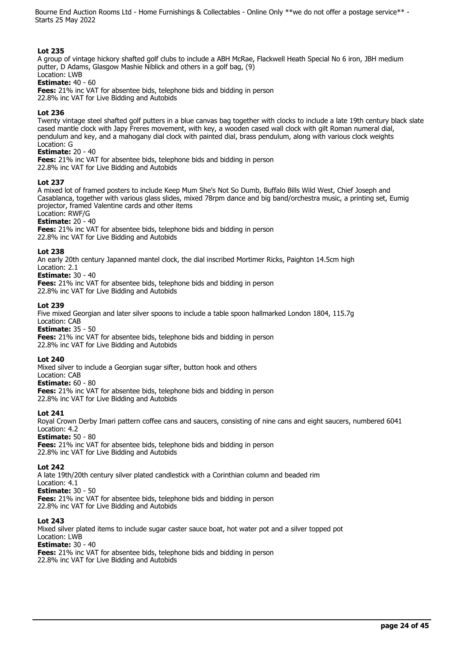# **Lot 235**

A group of vintage hickory shafted golf clubs to include a ABH McRae, Flackwell Heath Special No 6 iron, JBH medium putter, D Adams, Glasgow Mashie Niblick and others in a golf bag, (9) Location: LWB

# **Estimate:** 40 - 60

**Fees:** 21% inc VAT for absentee bids, telephone bids and bidding in person 22.8% inc VAT for Live Bidding and Autobids

#### **Lot 236**

Twenty vintage steel shafted golf putters in a blue canvas bag together with clocks to include a late 19th century black slate cased mantle clock with Japy Freres movement, with key, a wooden cased wall clock with gilt Roman numeral dial, pendulum and key, and a mahogany dial clock with painted dial, brass pendulum, along with various clock weights Location: G

#### **Estimate:** 20 - 40

**Fees:** 21% inc VAT for absentee bids, telephone bids and bidding in person 22.8% inc VAT for Live Bidding and Autobids

#### **Lot 237**

A mixed lot of framed posters to include Keep Mum She's Not So Dumb, Buffalo Bills Wild West, Chief Joseph and Casablanca, together with various glass slides, mixed 78rpm dance and big band/orchestra music, a printing set, Eumig projector, framed Valentine cards and other items

#### Location: RWF/G **Estimate:** 20 - 40

**Fees:** 21% inc VAT for absentee bids, telephone bids and bidding in person 22.8% inc VAT for Live Bidding and Autobids

#### **Lot 238**

An early 20th century Japanned mantel clock, the dial inscribed Mortimer Ricks, Paighton 14.5cm high Location: 2.1

# **Estimate:** 30 - 40

**Fees:** 21% inc VAT for absentee bids, telephone bids and bidding in person 22.8% inc VAT for Live Bidding and Autobids

#### **Lot 239**

Five mixed Georgian and later silver spoons to include a table spoon hallmarked London 1804, 115.7g Location: CAB

**Estimate:** 35 - 50

**Fees:** 21% inc VAT for absentee bids, telephone bids and bidding in person 22.8% inc VAT for Live Bidding and Autobids

# **Lot 240**

Mixed silver to include a Georgian sugar sifter, button hook and others

Location: CAB **Estimate:** 60 - 80

**Fees:** 21% inc VAT for absentee bids, telephone bids and bidding in person 22.8% inc VAT for Live Bidding and Autobids

#### **Lot 241**

Royal Crown Derby Imari pattern coffee cans and saucers, consisting of nine cans and eight saucers, numbered 6041 Location: 4.2

**Estimate:** 50 - 80

**Fees:** 21% inc VAT for absentee bids, telephone bids and bidding in person 22.8% inc VAT for Live Bidding and Autobids

# **Lot 242**

A late 19th/20th century silver plated candlestick with a Corinthian column and beaded rim Location: 4.1 **Estimate:** 30 - 50 **Fees:** 21% inc VAT for absentee bids, telephone bids and bidding in person

22.8% inc VAT for Live Bidding and Autobids

# **Lot 243**

Mixed silver plated items to include sugar caster sauce boat, hot water pot and a silver topped pot Location: LWB **Estimate:** 30 - 40 **Fees:** 21% inc VAT for absentee bids, telephone bids and bidding in person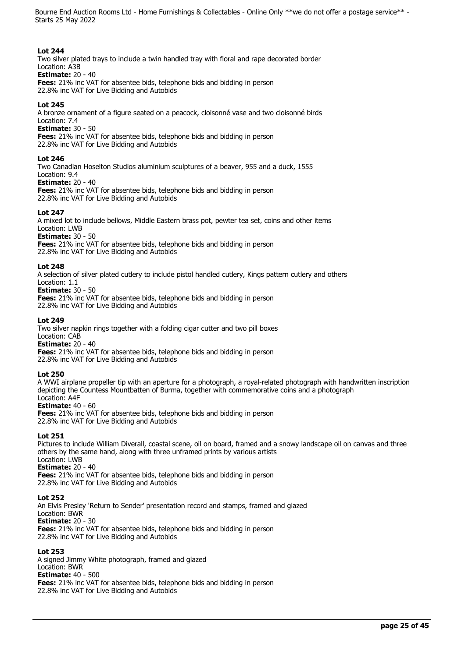# **Lot 244**

Two silver plated trays to include a twin handled tray with floral and rape decorated border Location: A3B

# **Estimate:** 20 - 40

**Fees:** 21% inc VAT for absentee bids, telephone bids and bidding in person 22.8% inc VAT for Live Bidding and Autobids

# **Lot 245**

A bronze ornament of a figure seated on a peacock, cloisonné vase and two cloisonné birds

Location: 7.4 **Estimate:** 30 - 50

**Fees:** 21% inc VAT for absentee bids, telephone bids and bidding in person

22.8% inc VAT for Live Bidding and Autobids

# **Lot 246**

Two Canadian Hoselton Studios aluminium sculptures of a beaver, 955 and a duck, 1555

#### Location: 9.4 **Estimate:** 20 - 40

**Fees:** 21% inc VAT for absentee bids, telephone bids and bidding in person 22.8% inc VAT for Live Bidding and Autobids

# **Lot 247**

A mixed lot to include bellows, Middle Eastern brass pot, pewter tea set, coins and other items Location: LWB

**Estimate:** 30 - 50

**Fees:** 21% inc VAT for absentee bids, telephone bids and bidding in person 22.8% inc VAT for Live Bidding and Autobids

# **Lot 248**

A selection of silver plated cutlery to include pistol handled cutlery, Kings pattern cutlery and others Location: 1.1

# **Estimate:** 30 - 50

**Fees:** 21% inc VAT for absentee bids, telephone bids and bidding in person 22.8% inc VAT for Live Bidding and Autobids

# **Lot 249**

Two silver napkin rings together with a folding cigar cutter and two pill boxes

Location: CAB **Estimate:** 20 - 40

**Fees:** 21% inc VAT for absentee bids, telephone bids and bidding in person 22.8% inc VAT for Live Bidding and Autobids

# **Lot 250**

A WWI airplane propeller tip with an aperture for a photograph, a royal-related photograph with handwritten inscription depicting the Countess Mountbatten of Burma, together with commemorative coins and a photograph Location: A4F

# **Estimate:** 40 - 60

**Fees:** 21% inc VAT for absentee bids, telephone bids and bidding in person 22.8% inc VAT for Live Bidding and Autobids

# **Lot 251**

Pictures to include William Diverall, coastal scene, oil on board, framed and a snowy landscape oil on canvas and three others by the same hand, along with three unframed prints by various artists Location: LWB

# **Estimate:** 20 - 40

**Fees:** 21% inc VAT for absentee bids, telephone bids and bidding in person 22.8% inc VAT for Live Bidding and Autobids

# **Lot 252**

An Elvis Presley 'Return to Sender' presentation record and stamps, framed and glazed Location: BWR **Estimate:** 20 - 30 **Fees:** 21% inc VAT for absentee bids, telephone bids and bidding in person 22.8% inc VAT for Live Bidding and Autobids

# **Lot 253**

A signed Jimmy White photograph, framed and glazed Location: BWR **Estimate:** 40 - 500 **Fees:** 21% inc VAT for absentee bids, telephone bids and bidding in person 22.8% inc VAT for Live Bidding and Autobids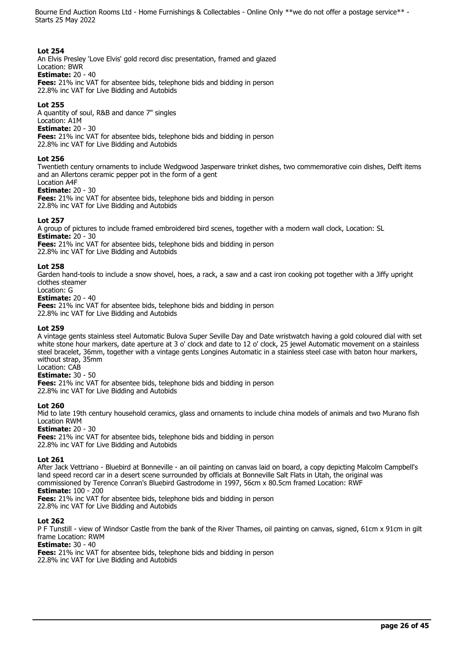#### **Lot 254**

An Elvis Presley 'Love Elvis' gold record disc presentation, framed and glazed

Location: BWR **Estimate:** 20 - 40

**Fees:** 21% inc VAT for absentee bids, telephone bids and bidding in person 22.8% inc VAT for Live Bidding and Autobids

# **Lot 255**

A quantity of soul, R&B and dance 7" singles

Location: A1M **Estimate:** 20 - 30

**Fees:** 21% inc VAT for absentee bids, telephone bids and bidding in person 22.8% inc VAT for Live Bidding and Autobids

# **Lot 256**

Twentieth century ornaments to include Wedgwood Jasperware trinket dishes, two commemorative coin dishes, Delft items and an Allertons ceramic pepper pot in the form of a gent Location A4F

# **Estimate:** 20 - 30

**Fees:** 21% inc VAT for absentee bids, telephone bids and bidding in person 22.8% inc VAT for Live Bidding and Autobids

# **Lot 257**

A group of pictures to include framed embroidered bird scenes, together with a modern wall clock, Location: SL **Estimate:** 20 - 30

**Fees:** 21% inc VAT for absentee bids, telephone bids and bidding in person 22.8% inc VAT for Live Bidding and Autobids

# **Lot 258**

Garden hand-tools to include a snow shovel, hoes, a rack, a saw and a cast iron cooking pot together with a Jiffy upright clothes steamer

Location: G

**Estimate:** 20 - 40

**Fees:** 21% inc VAT for absentee bids, telephone bids and bidding in person 22.8% inc VAT for Live Bidding and Autobids

# **Lot 259**

A vintage gents stainless steel Automatic Bulova Super Seville Day and Date wristwatch having a gold coloured dial with set white stone hour markers, date aperture at 3 o' clock and date to 12 o' clock, 25 jewel Automatic movement on a stainless steel bracelet, 36mm, together with a vintage gents Longines Automatic in a stainless steel case with baton hour markers, without strap, 35mm

Location: CAB

# **Estimate:** 30 - 50

**Fees:** 21% inc VAT for absentee bids, telephone bids and bidding in person 22.8% inc VAT for Live Bidding and Autobids

# **Lot 260**

Mid to late 19th century household ceramics, glass and ornaments to include china models of animals and two Murano fish Location RWM

**Estimate:** 20 - 30

**Fees:** 21% inc VAT for absentee bids, telephone bids and bidding in person 22.8% inc VAT for Live Bidding and Autobids

# **Lot 261**

After Jack Vettriano - Bluebird at Bonneville - an oil painting on canvas laid on board, a copy depicting Malcolm Campbell's land speed record car in a desert scene surrounded by officials at Bonneville Salt Flats in Utah, the original was commissioned by Terence Conran's Bluebird Gastrodome in 1997, 56cm x 80.5cm framed Location: RWF **Estimate:** 100 - 200

**Fees:** 21% inc VAT for absentee bids, telephone bids and bidding in person 22.8% inc VAT for Live Bidding and Autobids

# **Lot 262**

P F Tunstill - view of Windsor Castle from the bank of the River Thames, oil painting on canvas, signed, 61cm x 91cm in gilt frame Location: RWM

# **Estimate:** 30 - 40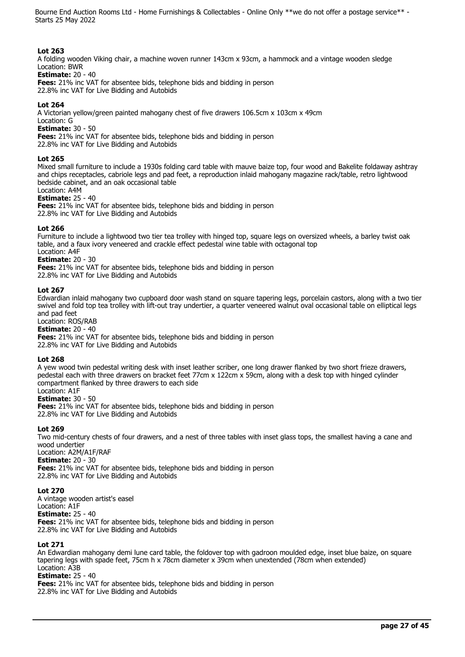#### **Lot 263**

A folding wooden Viking chair, a machine woven runner 143cm x 93cm, a hammock and a vintage wooden sledge Location: BWR

#### **Estimate:** 20 - 40

**Fees:** 21% inc VAT for absentee bids, telephone bids and bidding in person 22.8% inc VAT for Live Bidding and Autobids

# **Lot 264**

A Victorian yellow/green painted mahogany chest of five drawers 106.5cm x 103cm x 49cm

Location: G

**Estimate:** 30 - 50

**Fees:** 21% inc VAT for absentee bids, telephone bids and bidding in person

22.8% inc VAT for Live Bidding and Autobids

# **Lot 265**

Mixed small furniture to include a 1930s folding card table with mauve baize top, four wood and Bakelite foldaway ashtray and chips receptacles, cabriole legs and pad feet, a reproduction inlaid mahogany magazine rack/table, retro lightwood bedside cabinet, and an oak occasional table

# Location: A4M

**Estimate:** 25 - 40

**Fees:** 21% inc VAT for absentee bids, telephone bids and bidding in person

22.8% inc VAT for Live Bidding and Autobids

# **Lot 266**

Furniture to include a lightwood two tier tea trolley with hinged top, square legs on oversized wheels, a barley twist oak table, and a faux ivory veneered and crackle effect pedestal wine table with octagonal top Location: A4F

**Estimate:** 20 - 30

**Fees:** 21% inc VAT for absentee bids, telephone bids and bidding in person 22.8% inc VAT for Live Bidding and Autobids

# **Lot 267**

Edwardian inlaid mahogany two cupboard door wash stand on square tapering legs, porcelain castors, along with a two tier swivel and fold top tea trolley with lift-out tray undertier, a quarter veneered walnut oval occasional table on elliptical legs and pad feet

Location: ROS/RAB

**Estimate:** 20 - 40

**Fees:** 21% inc VAT for absentee bids, telephone bids and bidding in person 22.8% inc VAT for Live Bidding and Autobids

# **Lot 268**

A yew wood twin pedestal writing desk with inset leather scriber, one long drawer flanked by two short frieze drawers, pedestal each with three drawers on bracket feet 77cm x 122cm x 59cm, along with a desk top with hinged cylinder compartment flanked by three drawers to each side Location: A1F

**Estimate:** 30 - 50

**Fees:** 21% inc VAT for absentee bids, telephone bids and bidding in person 22.8% inc VAT for Live Bidding and Autobids

# **Lot 269**

Two mid-century chests of four drawers, and a nest of three tables with inset glass tops, the smallest having a cane and wood undertier Location: A2M/A1F/RAF

**Estimate:** 20 - 30

**Fees:** 21% inc VAT for absentee bids, telephone bids and bidding in person 22.8% inc VAT for Live Bidding and Autobids

# **Lot 270**

A vintage wooden artist's easel Location: A1F **Estimate:** 25 - 40 **Fees:** 21% inc VAT for absentee bids, telephone bids and bidding in person 22.8% inc VAT for Live Bidding and Autobids

# **Lot 271**

An Edwardian mahogany demi lune card table, the foldover top with gadroon moulded edge, inset blue baize, on square tapering legs with spade feet, 75cm h x 78cm diameter x 39cm when unextended (78cm when extended) Location: A3B

# **Estimate:** 25 - 40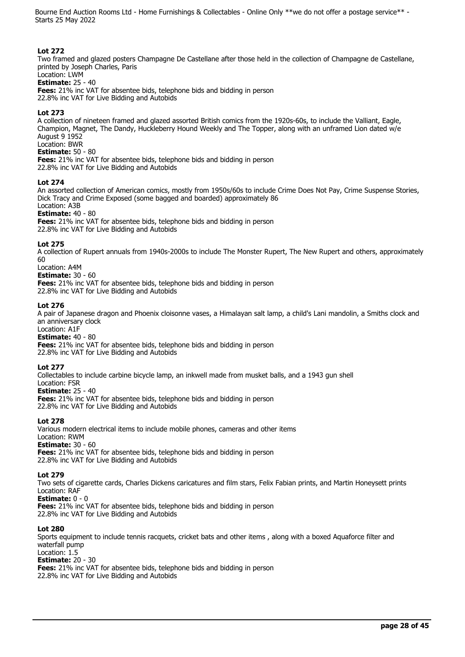# **Lot 272**

Two framed and glazed posters Champagne De Castellane after those held in the collection of Champagne de Castellane, printed by Joseph Charles, Paris

#### Location: LWM **Estimate:** 25 - 40

**Fees:** 21% inc VAT for absentee bids, telephone bids and bidding in person 22.8% inc VAT for Live Bidding and Autobids

# **Lot 273**

A collection of nineteen framed and glazed assorted British comics from the 1920s-60s, to include the Valliant, Eagle, Champion, Magnet, The Dandy, Huckleberry Hound Weekly and The Topper, along with an unframed Lion dated w/e August 9 1952 Location: BWR

# **Estimate:** 50 - 80

**Fees:** 21% inc VAT for absentee bids, telephone bids and bidding in person 22.8% inc VAT for Live Bidding and Autobids

# **Lot 274**

An assorted collection of American comics, mostly from 1950s/60s to include Crime Does Not Pay, Crime Suspense Stories, Dick Tracy and Crime Exposed (some bagged and boarded) approximately 86 Location: A3B

# **Estimate:** 40 - 80

**Fees:** 21% inc VAT for absentee bids, telephone bids and bidding in person 22.8% inc VAT for Live Bidding and Autobids

# **Lot 275**

A collection of Rupert annuals from 1940s-2000s to include The Monster Rupert, The New Rupert and others, approximately 60

# Location: A4M

**Estimate:** 30 - 60 **Fees:** 21% inc VAT for absentee bids, telephone bids and bidding in person 22.8% inc VAT for Live Bidding and Autobids

# **Lot 276**

A pair of Japanese dragon and Phoenix cloisonne vases, a Himalayan salt lamp, a child's Lani mandolin, a Smiths clock and an anniversary clock

# Location: A1F

**Estimate:** 40 - 80 **Fees:** 21% inc VAT for absentee bids, telephone bids and bidding in person 22.8% inc VAT for Live Bidding and Autobids

# **Lot 277**

Collectables to include carbine bicycle lamp, an inkwell made from musket balls, and a 1943 gun shell

Location: FSR **Estimate:** 25 - 40

**Fees:** 21% inc VAT for absentee bids, telephone bids and bidding in person

22.8% inc VAT for Live Bidding and Autobids

# **Lot 278**

Various modern electrical items to include mobile phones, cameras and other items Location: RWM **Estimate:** 30 - 60 **Fees:** 21% inc VAT for absentee bids, telephone bids and bidding in person 22.8% inc VAT for Live Bidding and Autobids

# **Lot 279**

Two sets of cigarette cards, Charles Dickens caricatures and film stars, Felix Fabian prints, and Martin Honeysett prints Location: RAF

**Estimate:** 0 - 0

**Fees:** 21% inc VAT for absentee bids, telephone bids and bidding in person 22.8% inc VAT for Live Bidding and Autobids

# **Lot 280**

Sports equipment to include tennis racquets, cricket bats and other items , along with a boxed Aquaforce filter and waterfall pump Location: 1.5

# **Estimate:** 20 - 30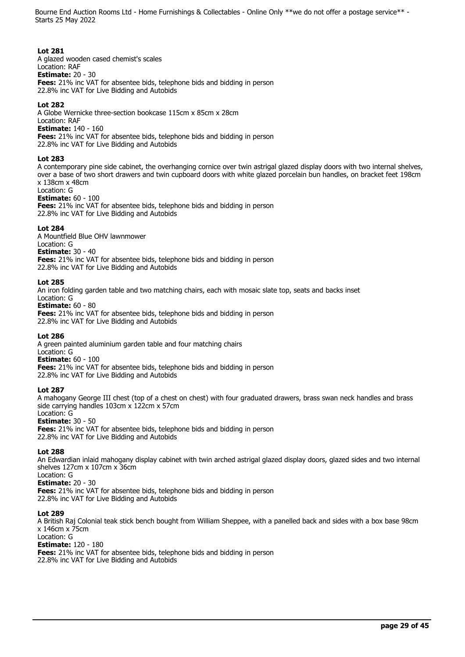#### **Lot 281**

A glazed wooden cased chemist's scales Location: RAF **Estimate:** 20 - 30 **Fees:** 21% inc VAT for absentee bids, telephone bids and bidding in person 22.8% inc VAT for Live Bidding and Autobids

#### **Lot 282**

A Globe Wernicke three-section bookcase 115cm x 85cm x 28cm Location: RAF

**Estimate:** 140 - 160

**Fees:** 21% inc VAT for absentee bids, telephone bids and bidding in person

22.8% inc VAT for Live Bidding and Autobids

#### **Lot 283**

A contemporary pine side cabinet, the overhanging cornice over twin astrigal glazed display doors with two internal shelves, over a base of two short drawers and twin cupboard doors with white glazed porcelain bun handles, on bracket feet 198cm x 138cm x 48cm

# Location: G

**Estimate:** 60 - 100 **Fees:** 21% inc VAT for absentee bids, telephone bids and bidding in person 22.8% inc VAT for Live Bidding and Autobids

#### **Lot 284**

A Mountfield Blue OHV lawnmower Location: G **Estimate:** 30 - 40 **Fees:** 21% inc VAT for absentee bids, telephone bids and bidding in person 22.8% inc VAT for Live Bidding and Autobids

#### **Lot 285**

An iron folding garden table and two matching chairs, each with mosaic slate top, seats and backs inset Location: G

#### **Estimate:** 60 - 80

**Fees:** 21% inc VAT for absentee bids, telephone bids and bidding in person 22.8% inc VAT for Live Bidding and Autobids

# **Lot 286**

A green painted aluminium garden table and four matching chairs Location: G **Estimate:** 60 - 100 **Fees:** 21% inc VAT for absentee bids, telephone bids and bidding in person 22.8% inc VAT for Live Bidding and Autobids

# **Lot 287**

A mahogany George III chest (top of a chest on chest) with four graduated drawers, brass swan neck handles and brass side carrying handles 103cm x 122cm x 57cm

# Location: G

**Estimate:** 30 - 50

**Fees:** 21% inc VAT for absentee bids, telephone bids and bidding in person 22.8% inc VAT for Live Bidding and Autobids

#### **Lot 288**

An Edwardian inlaid mahogany display cabinet with twin arched astrigal glazed display doors, glazed sides and two internal shelves 127cm x 107cm x 36cm

# Location: G

**Estimate:** 20 - 30 **Fees:** 21% inc VAT for absentee bids, telephone bids and bidding in person 22.8% inc VAT for Live Bidding and Autobids

#### **Lot 289**

A British Raj Colonial teak stick bench bought from William Sheppee, with a panelled back and sides with a box base 98cm x 146cm x 75cm

# Location: G

**Estimate:** 120 - 180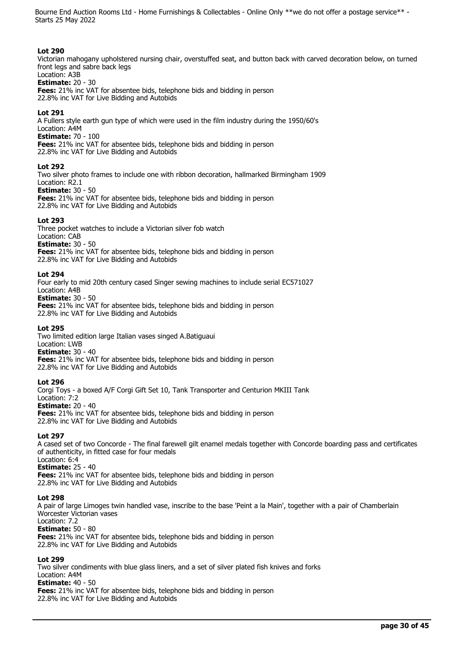#### **Lot 290**

Victorian mahogany upholstered nursing chair, overstuffed seat, and button back with carved decoration below, on turned front legs and sabre back legs

#### Location: A3B **Estimate:** 20 - 30

**Fees:** 21% inc VAT for absentee bids, telephone bids and bidding in person 22.8% inc VAT for Live Bidding and Autobids

#### **Lot 291**

A Fullers style earth gun type of which were used in the film industry during the 1950/60's Location: A4M

#### **Estimate:** 70 - 100

**Fees:** 21% inc VAT for absentee bids, telephone bids and bidding in person 22.8% inc VAT for Live Bidding and Autobids

#### **Lot 292**

Two silver photo frames to include one with ribbon decoration, hallmarked Birmingham 1909 Location: R2.1

#### **Estimate:** 30 - 50

**Fees:** 21% inc VAT for absentee bids, telephone bids and bidding in person 22.8% inc VAT for Live Bidding and Autobids

#### **Lot 293**

Three pocket watches to include a Victorian silver fob watch Location: CAB

**Estimate:** 30 - 50

**Fees:** 21% inc VAT for absentee bids, telephone bids and bidding in person 22.8% inc VAT for Live Bidding and Autobids

#### **Lot 294**

Four early to mid 20th century cased Singer sewing machines to include serial EC571027

Location: A4B **Estimate:** 30 - 50

**Fees:** 21% inc VAT for absentee bids, telephone bids and bidding in person 22.8% inc VAT for Live Bidding and Autobids

#### **Lot 295**

Two limited edition large Italian vases singed A.Batiguaui Location: LWB

**Estimate:** 30 - 40 **Fees:** 21% inc VAT for absentee bids, telephone bids and bidding in person 22.8% inc VAT for Live Bidding and Autobids

#### **Lot 296**

Corgi Toys - a boxed A/F Corgi Gift Set 10, Tank Transporter and Centurion MKIII Tank Location: 7:2 **Estimate:** 20 - 40 **Fees:** 21% inc VAT for absentee bids, telephone bids and bidding in person 22.8% inc VAT for Live Bidding and Autobids

**Lot 297** 

A cased set of two Concorde - The final farewell gilt enamel medals together with Concorde boarding pass and certificates of authenticity, in fitted case for four medals Location: 6:4

# **Estimate:** 25 - 40

**Fees:** 21% inc VAT for absentee bids, telephone bids and bidding in person 22.8% inc VAT for Live Bidding and Autobids

# **Lot 298**

A pair of large Limoges twin handled vase, inscribe to the base 'Peint a la Main', together with a pair of Chamberlain Worcester Victorian vases Location: 7.2

# **Estimate:** 50 - 80

**Fees:** 21% inc VAT for absentee bids, telephone bids and bidding in person 22.8% inc VAT for Live Bidding and Autobids

# **Lot 299**

Two silver condiments with blue glass liners, and a set of silver plated fish knives and forks Location: A4M **Estimate:** 40 - 50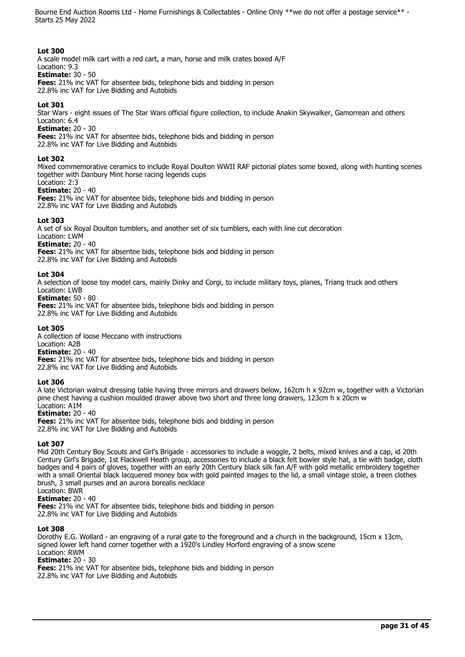#### **Lot 300**

A scale model milk cart with a red cart, a man, horse and milk crates boxed A/F Location: 9.3

**Estimate:** 30 - 50

**Fees:** 21% inc VAT for absentee bids, telephone bids and bidding in person 22.8% inc VAT for Live Bidding and Autobids

# **Lot 301**

Star Wars - eight issues of The Star Wars official figure collection, to include Anakin Skywalker, Gamorrean and others Location: 6.4

**Estimate:** 20 - 30

**Fees:** 21% inc VAT for absentee bids, telephone bids and bidding in person

22.8% inc VAT for Live Bidding and Autobids

# **Lot 302**

Mixed commemorative ceramics to include Royal Doulton WWII RAF pictorial plates some boxed, along with hunting scenes together with Danbury Mint horse racing legends cups Location: 2:3

# **Estimate:** 20 - 40

**Fees:** 21% inc VAT for absentee bids, telephone bids and bidding in person 22.8% inc VAT for Live Bidding and Autobids

# **Lot 303**

A set of six Royal Doulton tumblers, and another set of six tumblers, each with line cut decoration

Location: LWM **Estimate:** 20 - 40

**Fees:** 21% inc VAT for absentee bids, telephone bids and bidding in person

22.8% inc VAT for Live Bidding and Autobids

# **Lot 304**

A selection of loose toy model cars, mainly Dinky and Corgi, to include military toys, planes, Triang truck and others Location: LWB

**Estimate:** 50 - 80

**Fees:** 21% inc VAT for absentee bids, telephone bids and bidding in person 22.8% inc VAT for Live Bidding and Autobids

# **Lot 305**

A collection of loose Meccano with instructions

Location: A2B

**Estimate:** 20 - 40 **Fees:** 21% inc VAT for absentee bids, telephone bids and bidding in person 22.8% inc VAT for Live Bidding and Autobids

# **Lot 306**

A late Victorian walnut dressing table having three mirrors and drawers below, 162cm h x 92cm w, together with a Victorian pine chest having a cushion moulded drawer above two short and three long drawers, 123cm h x 20cm w Location: A1M

# **Estimate:** 20 - 40

**Fees:** 21% inc VAT for absentee bids, telephone bids and bidding in person 22.8% inc VAT for Live Bidding and Autobids

# **Lot 307**

Mid 20th Century Boy Scouts and Girl's Brigade - accessories to include a woggle, 2 belts, mixed knives and a cap, id 20th Century Girl's Brigade, 1st Flackwell Heath group, accessories to include a black felt bowler style hat, a tie with badge, cloth badges and 4 pairs of gloves, together with an early 20th Century black silk fan A/F with gold metallic embroidery together with a small Oriental black lacquered money box with gold painted images to the lid, a small vintage stole, a treen clothes brush, 3 small purses and an aurora borealis necklace Location: BWR

# **Estimate:** 20 - 40

**Fees:** 21% inc VAT for absentee bids, telephone bids and bidding in person

22.8% inc VAT for Live Bidding and Autobids

# **Lot 308**

Dorothy E.G. Wollard - an engraving of a rural gate to the foreground and a church in the background, 15cm x 13cm, signed lower left hand corner together with a 1920's Lindley Horford engraving of a snow scene Location: RWM

# **Estimate:** 20 - 30

**Fees:** 21% inc VAT for absentee bids, telephone bids and bidding in person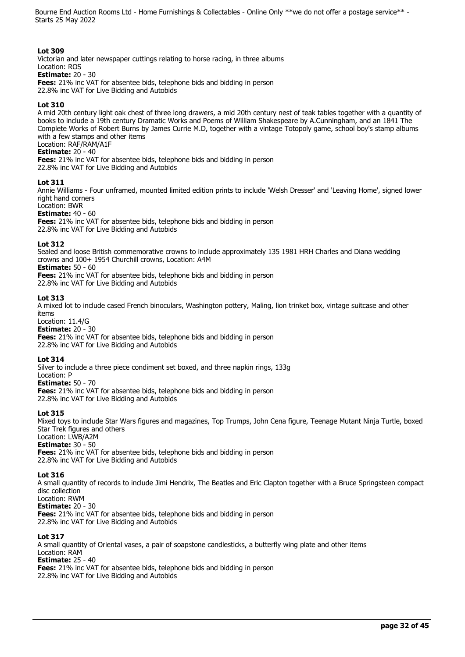#### **Lot 309**

Victorian and later newspaper cuttings relating to horse racing, in three albums Location: ROS **Estimate:** 20 - 30 **Fees:** 21% inc VAT for absentee bids, telephone bids and bidding in person 22.8% inc VAT for Live Bidding and Autobids

# **Lot 310**

A mid 20th century light oak chest of three long drawers, a mid 20th century nest of teak tables together with a quantity of books to include a 19th century Dramatic Works and Poems of William Shakespeare by A.Cunningham, and an 1841 The Complete Works of Robert Burns by James Currie M.D, together with a vintage Totopoly game, school boy's stamp albums with a few stamps and other items Location: RAF/RAM/A1F

# **Estimate:** 20 - 40

**Fees:** 21% inc VAT for absentee bids, telephone bids and bidding in person 22.8% inc VAT for Live Bidding and Autobids

# **Lot 311**

Annie Williams - Four unframed, mounted limited edition prints to include 'Welsh Dresser' and 'Leaving Home', signed lower right hand corners

# Location: BWR

**Estimate:** 40 - 60 **Fees:** 21% inc VAT for absentee bids, telephone bids and bidding in person 22.8% inc VAT for Live Bidding and Autobids

#### **Lot 312**

Sealed and loose British commemorative crowns to include approximately 135 1981 HRH Charles and Diana wedding crowns and 100+ 1954 Churchill crowns, Location: A4M

# **Estimate:** 50 - 60

**Fees:** 21% inc VAT for absentee bids, telephone bids and bidding in person 22.8% inc VAT for Live Bidding and Autobids

#### **Lot 313**

A mixed lot to include cased French binoculars, Washington pottery, Maling, lion trinket box, vintage suitcase and other items

Location: 11.4/G

**Estimate:** 20 - 30 **Fees:** 21% inc VAT for absentee bids, telephone bids and bidding in person 22.8% inc VAT for Live Bidding and Autobids

# **Lot 314**

Silver to include a three piece condiment set boxed, and three napkin rings, 133g Location: P

**Estimate:** 50 - 70

**Fees:** 21% inc VAT for absentee bids, telephone bids and bidding in person 22.8% inc VAT for Live Bidding and Autobids

# **Lot 315**

Mixed toys to include Star Wars figures and magazines, Top Trumps, John Cena figure, Teenage Mutant Ninja Turtle, boxed Star Trek figures and others Location: LWB/A2M

# **Estimate:** 30 - 50

**Fees:** 21% inc VAT for absentee bids, telephone bids and bidding in person 22.8% inc VAT for Live Bidding and Autobids

#### **Lot 316**

A small quantity of records to include Jimi Hendrix, The Beatles and Eric Clapton together with a Bruce Springsteen compact disc collection Location: RWM **Estimate:** 20 - 30

**Fees:** 21% inc VAT for absentee bids, telephone bids and bidding in person 22.8% inc VAT for Live Bidding and Autobids

# **Lot 317**

A small quantity of Oriental vases, a pair of soapstone candlesticks, a butterfly wing plate and other items Location: RAM **Estimate:** 25 - 40 **Fees:** 21% inc VAT for absentee bids, telephone bids and bidding in person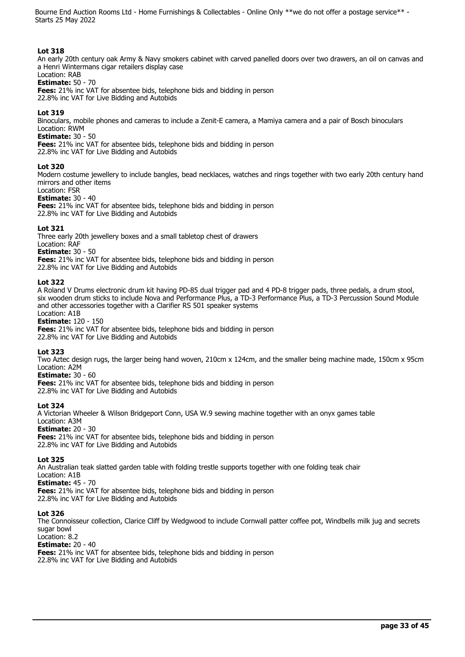#### **Lot 318**

An early 20th century oak Army & Navy smokers cabinet with carved panelled doors over two drawers, an oil on canvas and a Henri Wintermans cigar retailers display case

#### Location: RAB **Estimate:** 50 - 70

**Fees:** 21% inc VAT for absentee bids, telephone bids and bidding in person 22.8% inc VAT for Live Bidding and Autobids

#### **Lot 319**

Binoculars, mobile phones and cameras to include a Zenit-E camera, a Mamiya camera and a pair of Bosch binoculars Location: RWM

#### **Estimate:** 30 - 50

**Fees:** 21% inc VAT for absentee bids, telephone bids and bidding in person 22.8% inc VAT for Live Bidding and Autobids

#### **Lot 320**

Modern costume jewellery to include bangles, bead necklaces, watches and rings together with two early 20th century hand mirrors and other items

# Location: FSR

**Estimate:** 30 - 40

**Fees:** 21% inc VAT for absentee bids, telephone bids and bidding in person 22.8% inc VAT for Live Bidding and Autobids

#### **Lot 321**

Three early 20th jewellery boxes and a small tabletop chest of drawers Location: RAF **Estimate:** 30 - 50 **Fees:** 21% inc VAT for absentee bids, telephone bids and bidding in person 22.8% inc VAT for Live Bidding and Autobids

#### **Lot 322**

A Roland V Drums electronic drum kit having PD-85 dual trigger pad and 4 PD-8 trigger pads, three pedals, a drum stool, six wooden drum sticks to include Nova and Performance Plus, a TD-3 Performance Plus, a TD-3 Percussion Sound Module and other accessories together with a Clarifier RS 501 speaker systems

Location: A1B **Estimate:** 120 - 150

**Fees:** 21% inc VAT for absentee bids, telephone bids and bidding in person 22.8% inc VAT for Live Bidding and Autobids

#### **Lot 323**

Two Aztec design rugs, the larger being hand woven, 210cm x 124cm, and the smaller being machine made, 150cm x 95cm Location: A2M

# **Estimate:** 30 - 60

**Fees:** 21% inc VAT for absentee bids, telephone bids and bidding in person

22.8% inc VAT for Live Bidding and Autobids

# **Lot 324**

A Victorian Wheeler & Wilson Bridgeport Conn, USA W.9 sewing machine together with an onyx games table Location: A3M

**Estimate:** 20 - 30

**Fees:** 21% inc VAT for absentee bids, telephone bids and bidding in person 22.8% inc VAT for Live Bidding and Autobids

# **Lot 325**

An Australian teak slatted garden table with folding trestle supports together with one folding teak chair Location: A1B **Estimate:** 45 - 70

**Fees:** 21% inc VAT for absentee bids, telephone bids and bidding in person 22.8% inc VAT for Live Bidding and Autobids

#### **Lot 326**

The Connoisseur collection, Clarice Cliff by Wedgwood to include Cornwall patter coffee pot, Windbells milk jug and secrets sugar bowl Location: 8.2

# **Estimate:** 20 - 40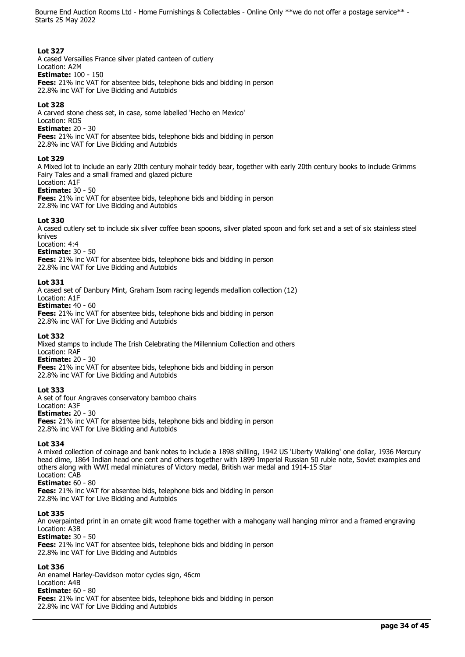# **Lot 327**

A cased Versailles France silver plated canteen of cutlery

Location: A2M **Estimate:** 100 - 150

**Fees:** 21% inc VAT for absentee bids, telephone bids and bidding in person 22.8% inc VAT for Live Bidding and Autobids

# **Lot 328**

A carved stone chess set, in case, some labelled 'Hecho en Mexico'

Location: ROS

**Estimate:** 20 - 30

**Fees:** 21% inc VAT for absentee bids, telephone bids and bidding in person

22.8% inc VAT for Live Bidding and Autobids

# **Lot 329**

A Mixed lot to include an early 20th century mohair teddy bear, together with early 20th century books to include Grimms Fairy Tales and a small framed and glazed picture Location: A1F

# **Estimate:** 30 - 50

**Fees:** 21% inc VAT for absentee bids, telephone bids and bidding in person 22.8% inc VAT for Live Bidding and Autobids

# **Lot 330**

A cased cutlery set to include six silver coffee bean spoons, silver plated spoon and fork set and a set of six stainless steel knives

# Location: 4:4

**Estimate:** 30 - 50

**Fees:** 21% inc VAT for absentee bids, telephone bids and bidding in person

22.8% inc VAT for Live Bidding and Autobids

# **Lot 331**

A cased set of Danbury Mint, Graham Isom racing legends medallion collection (12) Location: A1F **Estimate:** 40 - 60 **Fees:** 21% inc VAT for absentee bids, telephone bids and bidding in person 22.8% inc VAT for Live Bidding and Autobids

# **Lot 332**

Mixed stamps to include The Irish Celebrating the Millennium Collection and others Location: RAF **Estimate:** 20 - 30

**Fees:** 21% inc VAT for absentee bids, telephone bids and bidding in person 22.8% inc VAT for Live Bidding and Autobids

# **Lot 333**

A set of four Angraves conservatory bamboo chairs Location: A3F **Estimate:** 20 - 30 **Fees:** 21% inc VAT for absentee bids, telephone bids and bidding in person 22.8% inc VAT for Live Bidding and Autobids

# **Lot 334**

A mixed collection of coinage and bank notes to include a 1898 shilling, 1942 US 'Liberty Walking' one dollar, 1936 Mercury head dime, 1864 Indian head one cent and others together with 1899 Imperial Russian 50 ruble note, Soviet examples and others along with WWI medal miniatures of Victory medal, British war medal and 1914-15 Star Location: CAB

# **Estimate:** 60 - 80

**Fees:** 21% inc VAT for absentee bids, telephone bids and bidding in person 22.8% inc VAT for Live Bidding and Autobids

# **Lot 335**

An overpainted print in an ornate gilt wood frame together with a mahogany wall hanging mirror and a framed engraving Location: A3B

**Estimate:** 30 - 50

**Fees:** 21% inc VAT for absentee bids, telephone bids and bidding in person 22.8% inc VAT for Live Bidding and Autobids

# **Lot 336**

An enamel Harley-Davidson motor cycles sign, 46cm Location: A4B **Estimate:** 60 - 80 **Fees:** 21% inc VAT for absentee bids, telephone bids and bidding in person 22.8% inc VAT for Live Bidding and Autobids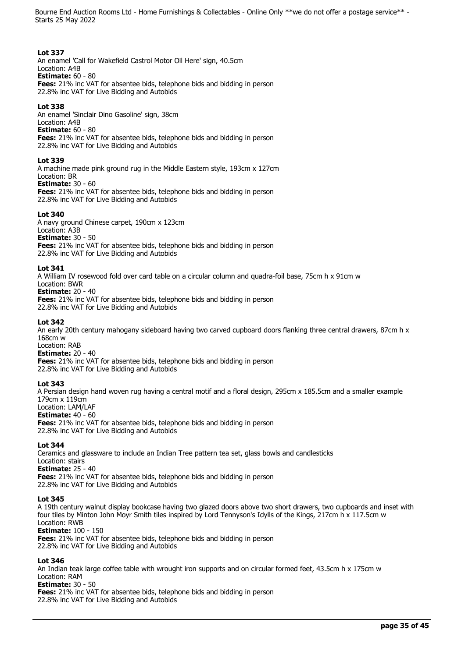# **Lot 337**

An enamel 'Call for Wakefield Castrol Motor Oil Here' sign, 40.5cm Location: A4B

**Estimate:** 60 - 80

**Fees:** 21% inc VAT for absentee bids, telephone bids and bidding in person 22.8% inc VAT for Live Bidding and Autobids

# **Lot 338**

An enamel 'Sinclair Dino Gasoline' sign, 38cm Location: A4B **Estimate:** 60 - 80 **Fees:** 21% inc VAT for absentee bids, telephone bids and bidding in person 22.8% inc VAT for Live Bidding and Autobids

# **Lot 339**

A machine made pink ground rug in the Middle Eastern style, 193cm x 127cm Location: BR **Estimate:** 30 - 60

**Fees:** 21% inc VAT for absentee bids, telephone bids and bidding in person 22.8% inc VAT for Live Bidding and Autobids

# **Lot 340**

A navy ground Chinese carpet, 190cm x 123cm Location: A3B **Estimate:** 30 - 50 **Fees:** 21% inc VAT for absentee bids, telephone bids and bidding in person 22.8% inc VAT for Live Bidding and Autobids

# **Lot 341**

A William IV rosewood fold over card table on a circular column and quadra-foil base, 75cm h x 91cm w Location: BWR

# **Estimate:** 20 - 40

**Fees:** 21% inc VAT for absentee bids, telephone bids and bidding in person 22.8% inc VAT for Live Bidding and Autobids

# **Lot 342**

An early 20th century mahogany sideboard having two carved cupboard doors flanking three central drawers, 87cm h x 168cm w

Location: RAB **Estimate:** 20 - 40

**Fees:** 21% inc VAT for absentee bids, telephone bids and bidding in person 22.8% inc VAT for Live Bidding and Autobids

# **Lot 343**

A Persian design hand woven rug having a central motif and a floral design, 295cm x 185.5cm and a smaller example 179cm x 119cm Location: LAM/LAF **Estimate:** 40 - 60 **Fees:** 21% inc VAT for absentee bids, telephone bids and bidding in person 22.8% inc VAT for Live Bidding and Autobids

**Lot 344** 

Ceramics and glassware to include an Indian Tree pattern tea set, glass bowls and candlesticks Location: stairs **Estimate:** 25 - 40 **Fees:** 21% inc VAT for absentee bids, telephone bids and bidding in person 22.8% inc VAT for Live Bidding and Autobids

# **Lot 345**

A 19th century walnut display bookcase having two glazed doors above two short drawers, two cupboards and inset with four tiles by Minton John Moyr Smith tiles inspired by Lord Tennyson's Idylls of the Kings, 217cm h x 117.5cm w Location: RWB **Estimate:** 100 - 150

**Fees:** 21% inc VAT for absentee bids, telephone bids and bidding in person 22.8% inc VAT for Live Bidding and Autobids

# **Lot 346**

An Indian teak large coffee table with wrought iron supports and on circular formed feet, 43.5cm h x 175cm w Location: RAM

**Estimate:** 30 - 50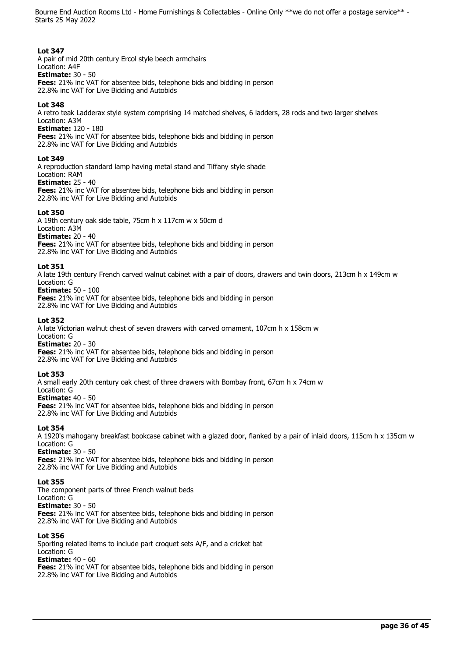#### **Lot 347**

A pair of mid 20th century Ercol style beech armchairs

#### Location: A4F **Estimate:** 30 - 50

**Fees:** 21% inc VAT for absentee bids, telephone bids and bidding in person 22.8% inc VAT for Live Bidding and Autobids

# **Lot 348**

A retro teak Ladderax style system comprising 14 matched shelves, 6 ladders, 28 rods and two larger shelves Location: A3M

**Estimate:** 120 - 180

**Fees:** 21% inc VAT for absentee bids, telephone bids and bidding in person

22.8% inc VAT for Live Bidding and Autobids

# **Lot 349**

A reproduction standard lamp having metal stand and Tiffany style shade

#### Location: RAM **Estimate:** 25 - 40

**Fees:** 21% inc VAT for absentee bids, telephone bids and bidding in person 22.8% inc VAT for Live Bidding and Autobids

# **Lot 350**

A 19th century oak side table, 75cm h x 117cm w x 50cm d

Location: A3M

**Estimate:** 20 - 40

**Fees:** 21% inc VAT for absentee bids, telephone bids and bidding in person 22.8% inc VAT for Live Bidding and Autobids

# **Lot 351**

A late 19th century French carved walnut cabinet with a pair of doors, drawers and twin doors, 213cm h x 149cm w Location: G

# **Estimate:** 50 - 100

**Fees:** 21% inc VAT for absentee bids, telephone bids and bidding in person 22.8% inc VAT for Live Bidding and Autobids

# **Lot 352**

A late Victorian walnut chest of seven drawers with carved ornament, 107cm h x 158cm w Location: G

# **Estimate:** 20 - 30

**Fees:** 21% inc VAT for absentee bids, telephone bids and bidding in person 22.8% inc VAT for Live Bidding and Autobids

# **Lot 353**

A small early 20th century oak chest of three drawers with Bombay front, 67cm h x 74cm w Location: G **Estimate:** 40 - 50 **Fees:** 21% inc VAT for absentee bids, telephone bids and bidding in person 22.8% inc VAT for Live Bidding and Autobids

**Lot 354** 

A 1920's mahogany breakfast bookcase cabinet with a glazed door, flanked by a pair of inlaid doors, 115cm h x 135cm w Location: G

**Estimate:** 30 - 50 **Fees:** 21% inc VAT for absentee bids, telephone bids and bidding in person 22.8% inc VAT for Live Bidding and Autobids

# **Lot 355**

The component parts of three French walnut beds Location: G **Estimate:** 30 - 50 **Fees:** 21% inc VAT for absentee bids, telephone bids and bidding in person 22.8% inc VAT for Live Bidding and Autobids

# **Lot 356**

Sporting related items to include part croquet sets A/F, and a cricket bat Location: G **Estimate:** 40 - 60 **Fees:** 21% inc VAT for absentee bids, telephone bids and bidding in person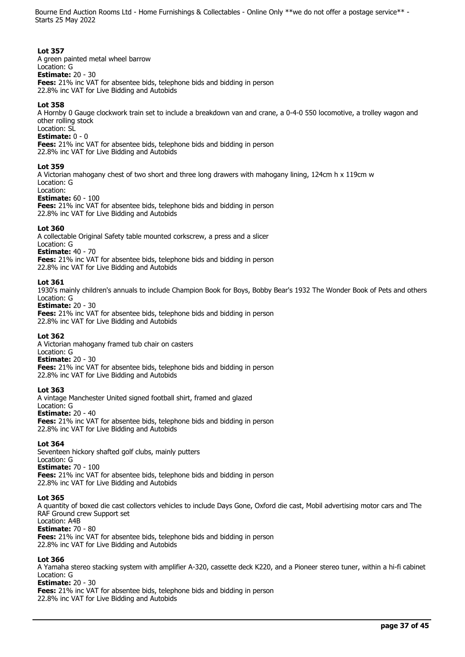# **Lot 357**

A green painted metal wheel barrow Location: G **Estimate:** 20 - 30 **Fees:** 21% inc VAT for absentee bids, telephone bids and bidding in person 22.8% inc VAT for Live Bidding and Autobids

#### **Lot 358**

A Hornby 0 Gauge clockwork train set to include a breakdown van and crane, a 0-4-0 550 locomotive, a trolley wagon and other rolling stock

# Location: SL

**Estimate:** 0 - 0

**Fees:** 21% inc VAT for absentee bids, telephone bids and bidding in person 22.8% inc VAT for Live Bidding and Autobids

#### **Lot 359**

A Victorian mahogany chest of two short and three long drawers with mahogany lining, 124cm h x 119cm w Location: G

#### Location:

**Estimate:** 60 - 100

**Fees:** 21% inc VAT for absentee bids, telephone bids and bidding in person 22.8% inc VAT for Live Bidding and Autobids

#### **Lot 360**

A collectable Original Safety table mounted corkscrew, a press and a slicer Location: G **Estimate:** 40 - 70 **Fees:** 21% inc VAT for absentee bids, telephone bids and bidding in person 22.8% inc VAT for Live Bidding and Autobids

#### **Lot 361**

1930's mainly children's annuals to include Champion Book for Boys, Bobby Bear's 1932 The Wonder Book of Pets and others Location: G

#### **Estimate:** 20 - 30

**Fees:** 21% inc VAT for absentee bids, telephone bids and bidding in person 22.8% inc VAT for Live Bidding and Autobids

# **Lot 362**

A Victorian mahogany framed tub chair on casters Location: G **Estimate:** 20 - 30 **Fees:** 21% inc VAT for absentee bids, telephone bids and bidding in person 22.8% inc VAT for Live Bidding and Autobids

# **Lot 363**

A vintage Manchester United signed football shirt, framed and glazed Location: G **Estimate:** 20 - 40 **Fees:** 21% inc VAT for absentee bids, telephone bids and bidding in person 22.8% inc VAT for Live Bidding and Autobids

#### **Lot 364**

Seventeen hickory shafted golf clubs, mainly putters Location: G **Estimate:** 70 - 100 **Fees:** 21% inc VAT for absentee bids, telephone bids and bidding in person 22.8% inc VAT for Live Bidding and Autobids

# **Lot 365**

A quantity of boxed die cast collectors vehicles to include Days Gone, Oxford die cast, Mobil advertising motor cars and The RAF Ground crew Support set

# Location: A4B

**Estimate:** 70 - 80 **Fees:** 21% inc VAT for absentee bids, telephone bids and bidding in person 22.8% inc VAT for Live Bidding and Autobids

#### **Lot 366**

A Yamaha stereo stacking system with amplifier A-320, cassette deck K220, and a Pioneer stereo tuner, within a hi-fi cabinet Location: G

#### **Estimate:** 20 - 30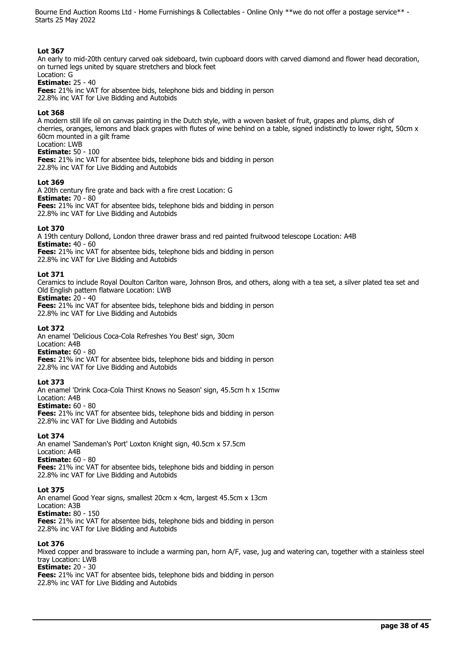#### **Lot 367**

An early to mid-20th century carved oak sideboard, twin cupboard doors with carved diamond and flower head decoration, on turned legs united by square stretchers and block feet

#### Location: G **Estimate:** 25 - 40

**Fees:** 21% inc VAT for absentee bids, telephone bids and bidding in person 22.8% inc VAT for Live Bidding and Autobids

#### **Lot 368**

A modern still life oil on canvas painting in the Dutch style, with a woven basket of fruit, grapes and plums, dish of cherries, oranges, lemons and black grapes with flutes of wine behind on a table, signed indistinctly to lower right, 50cm x 60cm mounted in a gilt frame

# Location: LWB

**Estimate:** 50 - 100

**Fees:** 21% inc VAT for absentee bids, telephone bids and bidding in person 22.8% inc VAT for Live Bidding and Autobids

#### **Lot 369**

A 20th century fire grate and back with a fire crest Location: G **Estimate:** 70 - 80 **Fees:** 21% inc VAT for absentee bids, telephone bids and bidding in person 22.8% inc VAT for Live Bidding and Autobids

#### **Lot 370**

A 19th century Dollond, London three drawer brass and red painted fruitwood telescope Location: A4B **Estimate:** 40 - 60 **Fees:** 21% inc VAT for absentee bids, telephone bids and bidding in person

22.8% inc VAT for Live Bidding and Autobids

#### **Lot 371**

Ceramics to include Royal Doulton Carlton ware, Johnson Bros, and others, along with a tea set, a silver plated tea set and Old English pattern flatware Location: LWB

**Estimate:** 20 - 40

**Fees:** 21% inc VAT for absentee bids, telephone bids and bidding in person 22.8% inc VAT for Live Bidding and Autobids

#### **Lot 372**

An enamel 'Delicious Coca-Cola Refreshes You Best' sign, 30cm Location: A4B

**Estimate:** 60 - 80

**Fees:** 21% inc VAT for absentee bids, telephone bids and bidding in person 22.8% inc VAT for Live Bidding and Autobids

#### **Lot 373**

An enamel 'Drink Coca-Cola Thirst Knows no Season' sign, 45.5cm h x 15cmw Location: A4B **Estimate:** 60 - 80

**Fees:** 21% inc VAT for absentee bids, telephone bids and bidding in person 22.8% inc VAT for Live Bidding and Autobids

# **Lot 374**

An enamel 'Sandeman's Port' Loxton Knight sign, 40.5cm x 57.5cm Location: A4B **Estimate:** 60 - 80 **Fees:** 21% inc VAT for absentee bids, telephone bids and bidding in person 22.8% inc VAT for Live Bidding and Autobids

# **Lot 375**

An enamel Good Year signs, smallest 20cm x 4cm, largest 45.5cm x 13cm Location: A3B **Estimate:** 80 - 150 **Fees:** 21% inc VAT for absentee bids, telephone bids and bidding in person 22.8% inc VAT for Live Bidding and Autobids

#### **Lot 376**

Mixed copper and brassware to include a warming pan, horn A/F, vase, jug and watering can, together with a stainless steel tray Location: LWB **Estimate:** 20 - 30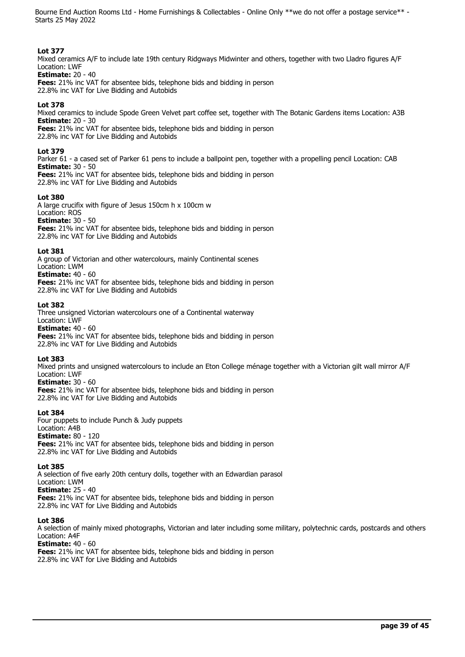#### **Lot 377**

Mixed ceramics A/F to include late 19th century Ridgways Midwinter and others, together with two Lladro figures A/F Location: LWF

**Estimate:** 20 - 40

**Fees:** 21% inc VAT for absentee bids, telephone bids and bidding in person 22.8% inc VAT for Live Bidding and Autobids

# **Lot 378**

Mixed ceramics to include Spode Green Velvet part coffee set, together with The Botanic Gardens items Location: A3B **Estimate:** 20 - 30

**Fees:** 21% inc VAT for absentee bids, telephone bids and bidding in person 22.8% inc VAT for Live Bidding and Autobids

#### **Lot 379**

Parker 61 - a cased set of Parker 61 pens to include a ballpoint pen, together with a propelling pencil Location: CAB **Estimate:** 30 - 50 **Fees:** 21% inc VAT for absentee bids, telephone bids and bidding in person

22.8% inc VAT for Live Bidding and Autobids

# **Lot 380**

A large crucifix with figure of Jesus 150cm h x 100cm w Location: ROS **Estimate:** 30 - 50 **Fees:** 21% inc VAT for absentee bids, telephone bids and bidding in person 22.8% inc VAT for Live Bidding and Autobids

#### **Lot 381**

A group of Victorian and other watercolours, mainly Continental scenes Location: LWM **Estimate:** 40 - 60 **Fees:** 21% inc VAT for absentee bids, telephone bids and bidding in person 22.8% inc VAT for Live Bidding and Autobids

#### **Lot 382**

Three unsigned Victorian watercolours one of a Continental waterway Location: LWF **Estimate:** 40 - 60 **Fees:** 21% inc VAT for absentee bids, telephone bids and bidding in person 22.8% inc VAT for Live Bidding and Autobids

# **Lot 383**

Mixed prints and unsigned watercolours to include an Eton College ménage together with a Victorian gilt wall mirror A/F Location: LWF

**Estimate:** 30 - 60

**Fees:** 21% inc VAT for absentee bids, telephone bids and bidding in person 22.8% inc VAT for Live Bidding and Autobids

# **Lot 384**

Four puppets to include Punch & Judy puppets Location: A4B **Estimate:** 80 - 120 **Fees:** 21% inc VAT for absentee bids, telephone bids and bidding in person

22.8% inc VAT for Live Bidding and Autobids

#### **Lot 385**

A selection of five early 20th century dolls, together with an Edwardian parasol

Location: LWM **Estimate:** 25 - 40

**Fees:** 21% inc VAT for absentee bids, telephone bids and bidding in person 22.8% inc VAT for Live Bidding and Autobids

# **Lot 386**

A selection of mainly mixed photographs, Victorian and later including some military, polytechnic cards, postcards and others Location: A4F

# **Estimate:** 40 - 60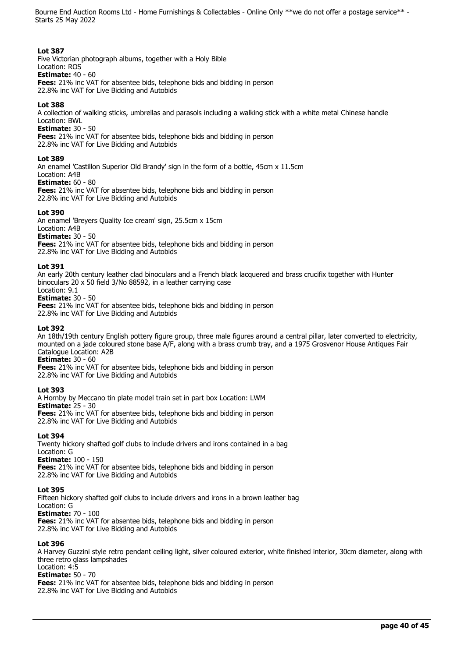# **Lot 387**

Five Victorian photograph albums, together with a Holy Bible Location: ROS

**Estimate:** 40 - 60

**Fees:** 21% inc VAT for absentee bids, telephone bids and bidding in person 22.8% inc VAT for Live Bidding and Autobids

# **Lot 388**

A collection of walking sticks, umbrellas and parasols including a walking stick with a white metal Chinese handle Location: BWL

**Estimate:** 30 - 50

**Fees:** 21% inc VAT for absentee bids, telephone bids and bidding in person

22.8% inc VAT for Live Bidding and Autobids

# **Lot 389**

An enamel 'Castillon Superior Old Brandy' sign in the form of a bottle, 45cm x 11.5cm

#### Location: A4B **Estimate:** 60 - 80

**Fees:** 21% inc VAT for absentee bids, telephone bids and bidding in person 22.8% inc VAT for Live Bidding and Autobids

# **Lot 390**

An enamel 'Breyers Quality Ice cream' sign, 25.5cm x 15cm

Location: A4B

**Estimate:** 30 - 50

**Fees:** 21% inc VAT for absentee bids, telephone bids and bidding in person 22.8% inc VAT for Live Bidding and Autobids

# **Lot 391**

An early 20th century leather clad binoculars and a French black lacquered and brass crucifix together with Hunter binoculars 20 x 50 field 3/No 88592, in a leather carrying case Location: 9.1

# **Estimate:** 30 - 50

**Fees:** 21% inc VAT for absentee bids, telephone bids and bidding in person 22.8% inc VAT for Live Bidding and Autobids

# **Lot 392**

An 18th/19th century English pottery figure group, three male figures around a central pillar, later converted to electricity, mounted on a jade coloured stone base A/F, along with a brass crumb tray, and a 1975 Grosvenor House Antiques Fair Catalogue Location: A2B

**Estimate:** 30 - 60

**Fees:** 21% inc VAT for absentee bids, telephone bids and bidding in person 22.8% inc VAT for Live Bidding and Autobids

# **Lot 393**

A Hornby by Meccano tin plate model train set in part box Location: LWM **Estimate:** 25 - 30 **Fees:** 21% inc VAT for absentee bids, telephone bids and bidding in person 22.8% inc VAT for Live Bidding and Autobids

# **Lot 394**

Twenty hickory shafted golf clubs to include drivers and irons contained in a bag Location: G **Estimate:** 100 - 150

**Fees:** 21% inc VAT for absentee bids, telephone bids and bidding in person 22.8% inc VAT for Live Bidding and Autobids

# **Lot 395**

Fifteen hickory shafted golf clubs to include drivers and irons in a brown leather bag Location: G **Estimate:** 70 - 100 **Fees:** 21% inc VAT for absentee bids, telephone bids and bidding in person

22.8% inc VAT for Live Bidding and Autobids

# **Lot 396**

A Harvey Guzzini style retro pendant ceiling light, silver coloured exterior, white finished interior, 30cm diameter, along with three retro glass lampshades Location: 4:5 **Estimate:** 50 - 70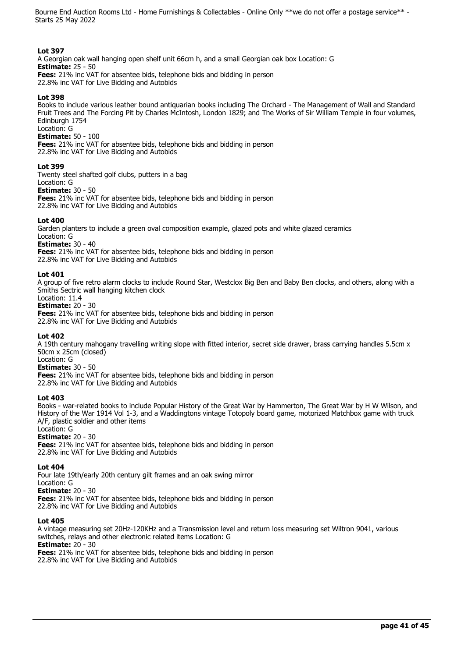# **Lot 397**

A Georgian oak wall hanging open shelf unit 66cm h, and a small Georgian oak box Location: G **Estimate:** 25 - 50 **Fees:** 21% inc VAT for absentee bids, telephone bids and bidding in person

22.8% inc VAT for Live Bidding and Autobids

# **Lot 398**

Books to include various leather bound antiquarian books including The Orchard - The Management of Wall and Standard Fruit Trees and The Forcing Pit by Charles McIntosh, London 1829; and The Works of Sir William Temple in four volumes, Edinburgh 1754

Location: G

**Estimate:** 50 - 100

**Fees:** 21% inc VAT for absentee bids, telephone bids and bidding in person 22.8% inc VAT for Live Bidding and Autobids

#### **Lot 399**

Twenty steel shafted golf clubs, putters in a bag

# Location: G

**Estimate:** 30 - 50 **Fees:** 21% inc VAT for absentee bids, telephone bids and bidding in person 22.8% inc VAT for Live Bidding and Autobids

#### **Lot 400**

Garden planters to include a green oval composition example, glazed pots and white glazed ceramics Location: G

#### **Estimate:** 30 - 40

**Fees:** 21% inc VAT for absentee bids, telephone bids and bidding in person 22.8% inc VAT for Live Bidding and Autobids

#### **Lot 401**

A group of five retro alarm clocks to include Round Star, Westclox Big Ben and Baby Ben clocks, and others, along with a Smiths Sectric wall hanging kitchen clock

#### Location: 11.4 **Estimate:** 20 - 30

**Fees:** 21% inc VAT for absentee bids, telephone bids and bidding in person 22.8% inc VAT for Live Bidding and Autobids

#### **Lot 402**

A 19th century mahogany travelling writing slope with fitted interior, secret side drawer, brass carrying handles 5.5cm x 50cm x 25cm (closed)

# Location: G

**Estimate:** 30 - 50 **Fees:** 21% inc VAT for absentee bids, telephone bids and bidding in person

22.8% inc VAT for Live Bidding and Autobids

# **Lot 403**

Books - war-related books to include Popular History of the Great War by Hammerton, The Great War by H W Wilson, and History of the War 1914 Vol 1-3, and a Waddingtons vintage Totopoly board game, motorized Matchbox game with truck A/F, plastic soldier and other items

# Location: G

**Estimate:** 20 - 30 **Fees:** 21% inc VAT for absentee bids, telephone bids and bidding in person

22.8% inc VAT for Live Bidding and Autobids

# **Lot 404**

Four late 19th/early 20th century gilt frames and an oak swing mirror

Location: G **Estimate:** 20 - 30

**Fees:** 21% inc VAT for absentee bids, telephone bids and bidding in person 22.8% inc VAT for Live Bidding and Autobids

# **Lot 405**

A vintage measuring set 20Hz-120KHz and a Transmission level and return loss measuring set Wiltron 9041, various switches, relays and other electronic related items Location: G **Estimate:** 20 - 30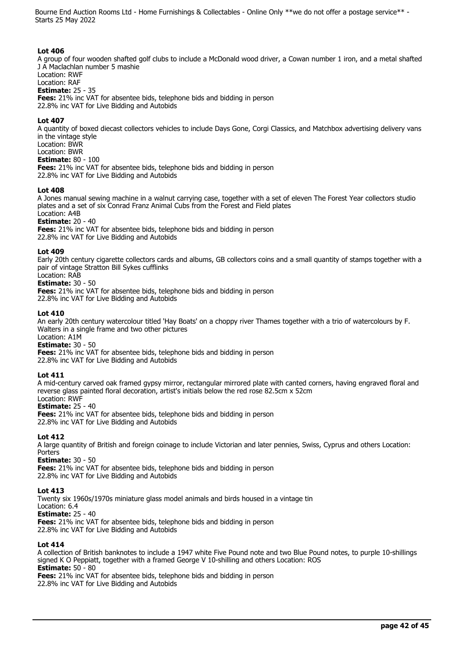# **Lot 406**

A group of four wooden shafted golf clubs to include a McDonald wood driver, a Cowan number 1 iron, and a metal shafted J A Maclachlan number 5 mashie Location: RWF

Location: RAF

**Estimate:** 25 - 35

**Fees:** 21% inc VAT for absentee bids, telephone bids and bidding in person

22.8% inc VAT for Live Bidding and Autobids

# **Lot 407**

A quantity of boxed diecast collectors vehicles to include Days Gone, Corgi Classics, and Matchbox advertising delivery vans in the vintage style Location: BWR Location: BWR

**Estimate:** 80 - 100

**Fees:** 21% inc VAT for absentee bids, telephone bids and bidding in person 22.8% inc VAT for Live Bidding and Autobids

#### **Lot 408**

A Jones manual sewing machine in a walnut carrying case, together with a set of eleven The Forest Year collectors studio plates and a set of six Conrad Franz Animal Cubs from the Forest and Field plates Location: A4B

#### **Estimate:** 20 - 40

**Fees:** 21% inc VAT for absentee bids, telephone bids and bidding in person 22.8% inc VAT for Live Bidding and Autobids

#### **Lot 409**

Early 20th century cigarette collectors cards and albums, GB collectors coins and a small quantity of stamps together with a pair of vintage Stratton Bill Sykes cufflinks

#### Location: RAB **Estimate:** 30 - 50

**Fees:** 21% inc VAT for absentee bids, telephone bids and bidding in person 22.8% inc VAT for Live Bidding and Autobids

#### **Lot 410**

An early 20th century watercolour titled 'Hay Boats' on a choppy river Thames together with a trio of watercolours by F. Walters in a single frame and two other pictures

Location: A1M **Estimate:** 30 - 50

**Fees:** 21% inc VAT for absentee bids, telephone bids and bidding in person 22.8% inc VAT for Live Bidding and Autobids

# **Lot 411**

A mid-century carved oak framed gypsy mirror, rectangular mirrored plate with canted corners, having engraved floral and reverse glass painted floral decoration, artist's initials below the red rose 82.5cm x 52cm Location: RWF

# **Estimate:** 25 - 40

**Fees:** 21% inc VAT for absentee bids, telephone bids and bidding in person 22.8% inc VAT for Live Bidding and Autobids

# **Lot 412**

A large quantity of British and foreign coinage to include Victorian and later pennies, Swiss, Cyprus and others Location: Porters

**Estimate:** 30 - 50

**Fees:** 21% inc VAT for absentee bids, telephone bids and bidding in person 22.8% inc VAT for Live Bidding and Autobids

# **Lot 413**

Twenty six 1960s/1970s miniature glass model animals and birds housed in a vintage tin

Location: 6.4

**Estimate:** 25 - 40

**Fees:** 21% inc VAT for absentee bids, telephone bids and bidding in person

22.8% inc VAT for Live Bidding and Autobids

# **Lot 414**

A collection of British banknotes to include a 1947 white Five Pound note and two Blue Pound notes, to purple 10-shillings signed K O Peppiatt, together with a framed George V 10-shilling and others Location: ROS **Estimate:** 50 - 80

**Fees:** 21% inc VAT for absentee bids, telephone bids and bidding in person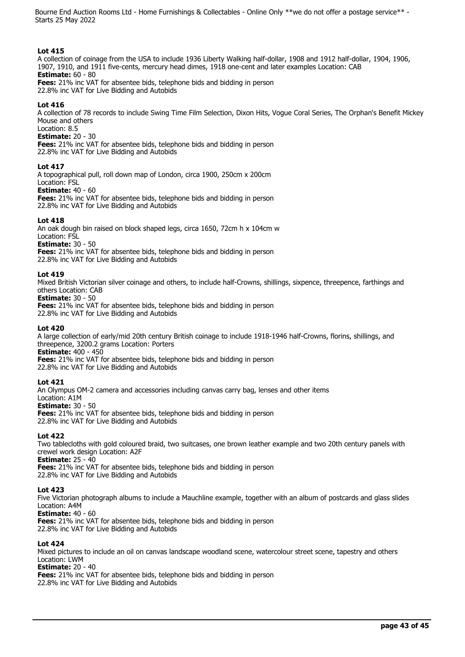#### **Lot 415**

A collection of coinage from the USA to include 1936 Liberty Walking half-dollar, 1908 and 1912 half-dollar, 1904, 1906, 1907, 1910, and 1911 five-cents, mercury head dimes, 1918 one-cent and later examples Location: CAB **Estimate:** 60 - 80 **Fees:** 21% inc VAT for absentee bids, telephone bids and bidding in person

22.8% inc VAT for Live Bidding and Autobids

#### **Lot 416**

A collection of 78 records to include Swing Time Film Selection, Dixon Hits, Vogue Coral Series, The Orphan's Benefit Mickey Mouse and others

Location: 8.5

**Estimate:** 20 - 30

**Fees:** 21% inc VAT for absentee bids, telephone bids and bidding in person 22.8% inc VAT for Live Bidding and Autobids

#### **Lot 417**

A topographical pull, roll down map of London, circa 1900, 250cm x 200cm Location: FSL

**Estimate:** 40 - 60

**Fees:** 21% inc VAT for absentee bids, telephone bids and bidding in person 22.8% inc VAT for Live Bidding and Autobids

#### **Lot 418**

An oak dough bin raised on block shaped legs, circa 1650, 72cm h x 104cm w Location: FSL

**Estimate:** 30 - 50

**Fees:** 21% inc VAT for absentee bids, telephone bids and bidding in person 22.8% inc VAT for Live Bidding and Autobids

#### **Lot 419**

Mixed British Victorian silver coinage and others, to include half-Crowns, shillings, sixpence, threepence, farthings and others Location: CAB

**Estimate:** 30 - 50

**Fees:** 21% inc VAT for absentee bids, telephone bids and bidding in person 22.8% inc VAT for Live Bidding and Autobids

#### **Lot 420**

A large collection of early/mid 20th century British coinage to include 1918-1946 half-Crowns, florins, shillings, and threepence, 3200.2 grams Location: Porters **Estimate:** 400 - 450

**Fees:** 21% inc VAT for absentee bids, telephone bids and bidding in person

22.8% inc VAT for Live Bidding and Autobids

# **Lot 421**

An Olympus OM-2 camera and accessories including canvas carry bag, lenses and other items

Location: A1M

**Estimate:** 30 - 50 **Fees:** 21% inc VAT for absentee bids, telephone bids and bidding in person 22.8% inc VAT for Live Bidding and Autobids

# **Lot 422**

Two tablecloths with gold coloured braid, two suitcases, one brown leather example and two 20th century panels with crewel work design Location: A2F

**Estimate:** 25 - 40

**Fees:** 21% inc VAT for absentee bids, telephone bids and bidding in person

22.8% inc VAT for Live Bidding and Autobids

# **Lot 423**

Five Victorian photograph albums to include a Mauchline example, together with an album of postcards and glass slides Location: A4M

**Estimate:** 40 - 60

**Fees:** 21% inc VAT for absentee bids, telephone bids and bidding in person

22.8% inc VAT for Live Bidding and Autobids

# **Lot 424**

Mixed pictures to include an oil on canvas landscape woodland scene, watercolour street scene, tapestry and others Location: LWM

**Estimate:** 20 - 40

**Fees:** 21% inc VAT for absentee bids, telephone bids and bidding in person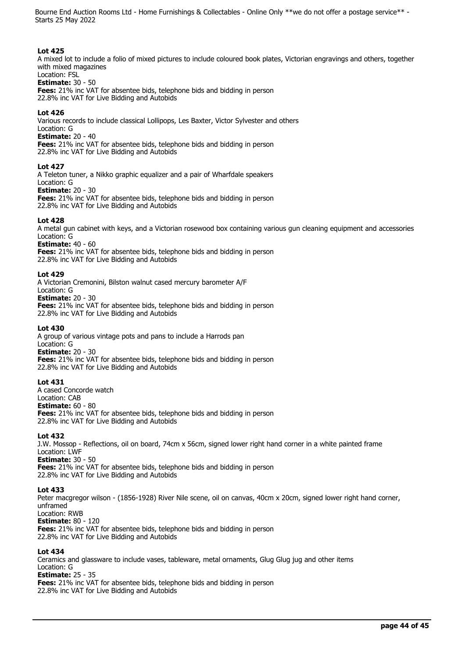#### **Lot 425**

A mixed lot to include a folio of mixed pictures to include coloured book plates, Victorian engravings and others, together with mixed magazines

#### Location: FSL **Estimate:** 30 - 50

**Fees:** 21% inc VAT for absentee bids, telephone bids and bidding in person 22.8% inc VAT for Live Bidding and Autobids

#### **Lot 426**

Various records to include classical Lollipops, Les Baxter, Victor Sylvester and others Location: G

#### **Estimate:** 20 - 40

**Fees:** 21% inc VAT for absentee bids, telephone bids and bidding in person 22.8% inc VAT for Live Bidding and Autobids

#### **Lot 427**

A Teleton tuner, a Nikko graphic equalizer and a pair of Wharfdale speakers Location: G

#### **Estimate:** 20 - 30

**Fees:** 21% inc VAT for absentee bids, telephone bids and bidding in person 22.8% inc VAT for Live Bidding and Autobids

#### **Lot 428**

A metal gun cabinet with keys, and a Victorian rosewood box containing various gun cleaning equipment and accessories Location: G

#### **Estimate:** 40 - 60

**Fees:** 21% inc VAT for absentee bids, telephone bids and bidding in person 22.8% inc VAT for Live Bidding and Autobids

#### **Lot 429**

A Victorian Cremonini, Bilston walnut cased mercury barometer A/F

Location: G

**Estimate:** 20 - 30 **Fees:** 21% inc VAT for absentee bids, telephone bids and bidding in person 22.8% inc VAT for Live Bidding and Autobids

#### **Lot 430**

A group of various vintage pots and pans to include a Harrods pan Location: G **Estimate:** 20 - 30 **Fees:** 21% inc VAT for absentee bids, telephone bids and bidding in person 22.8% inc VAT for Live Bidding and Autobids

#### **Lot 431**

A cased Concorde watch Location: CAB **Estimate:** 60 - 80 **Fees:** 21% inc VAT for absentee bids, telephone bids and bidding in person 22.8% inc VAT for Live Bidding and Autobids

#### **Lot 432**

J.W. Mossop - Reflections, oil on board, 74cm x 56cm, signed lower right hand corner in a white painted frame Location: LWF **Estimate:** 30 - 50

**Fees:** 21% inc VAT for absentee bids, telephone bids and bidding in person 22.8% inc VAT for Live Bidding and Autobids

#### **Lot 433**

Peter macgregor wilson - (1856-1928) River Nile scene, oil on canvas, 40cm x 20cm, signed lower right hand corner, unframed Location: RWB **Estimate:** 80 - 120 **Fees:** 21% inc VAT for absentee bids, telephone bids and bidding in person 22.8% inc VAT for Live Bidding and Autobids

#### **Lot 434**

Ceramics and glassware to include vases, tableware, metal ornaments, Glug Glug jug and other items Location: G **Estimate:** 25 - 35 **Fees:** 21% inc VAT for absentee bids, telephone bids and bidding in person